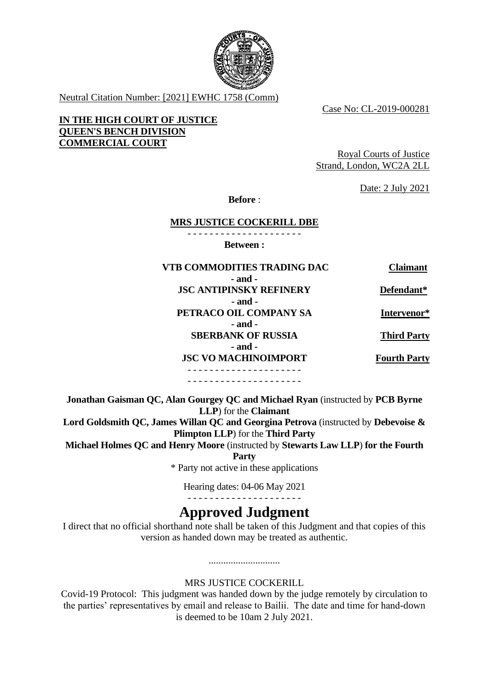

Neutral Citation Number: [2021] EWHC 1758 (Comm)

Case No: CL-2019-000281

### **IN THE HIGH COURT OF JUSTICE QUEEN'S BENCH DIVISION COMMERCIAL COURT**

Royal Courts of Justice Strand, London, WC2A 2LL

Date: 2 July 2021

**Before** :

#### **MRS JUSTICE COCKERILL DBE**

- - - - - - - - - - - - - - - - - - - - - **Between :**

| <b>VTB COMMODITIES TRADING DAC</b> | <b>Claimant</b>     |
|------------------------------------|---------------------|
| - and -                            |                     |
| <b>JSC ANTIPINSKY REFINERY</b>     | Defendant*          |
| - and -                            |                     |
| PETRACO OIL COMPANY SA             | Intervenor*         |
| - and -                            |                     |
| <b>SBERBANK OF RUSSIA</b>          | <b>Third Party</b>  |
| $-$ and $-$                        |                     |
| <b>JSC VO MACHINOIMPORT</b>        | <b>Fourth Party</b> |
|                                    |                     |
|                                    |                     |

**Jonathan Gaisman QC, Alan Gourgey QC and Michael Ryan** (instructed by **PCB Byrne LLP**) for the **Claimant Lord Goldsmith QC, James Willan QC and Georgina Petrova** (instructed by **Debevoise & Plimpton LLP**) for the **Third Party**

**Michael Holmes QC and Henry Moore** (instructed by **Stewarts Law LLP**) **for the Fourth** 

**Party**

\* Party not active in these applications

Hearing dates: 04-06 May 2021 - - - - - - - - - - - - - - - - - - - - -

# **Approved Judgment**

I direct that no official shorthand note shall be taken of this Judgment and that copies of this version as handed down may be treated as authentic.

# MRS JUSTICE COCKERILL

.............................

Covid-19 Protocol: This judgment was handed down by the judge remotely by circulation to the parties' representatives by email and release to Bailii. The date and time for hand-down is deemed to be 10am 2 July 2021.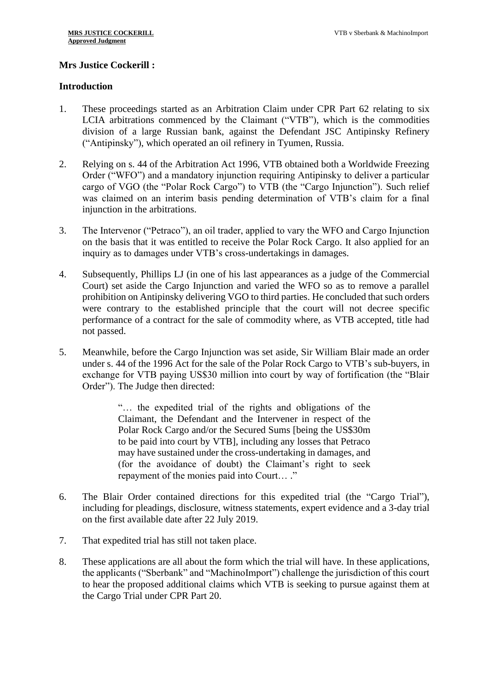# **Mrs Justice Cockerill :**

## **Introduction**

- 1. These proceedings started as an Arbitration Claim under CPR Part 62 relating to six LCIA arbitrations commenced by the Claimant ("VTB"), which is the commodities division of a large Russian bank, against the Defendant JSC Antipinsky Refinery ("Antipinsky"), which operated an oil refinery in Tyumen, Russia.
- 2. Relying on s. 44 of the Arbitration Act 1996, VTB obtained both a Worldwide Freezing Order ("WFO") and a mandatory injunction requiring Antipinsky to deliver a particular cargo of VGO (the "Polar Rock Cargo") to VTB (the "Cargo Injunction"). Such relief was claimed on an interim basis pending determination of VTB's claim for a final injunction in the arbitrations.
- 3. The Intervenor ("Petraco"), an oil trader, applied to vary the WFO and Cargo Injunction on the basis that it was entitled to receive the Polar Rock Cargo. It also applied for an inquiry as to damages under VTB's cross-undertakings in damages.
- 4. Subsequently, Phillips LJ (in one of his last appearances as a judge of the Commercial Court) set aside the Cargo Injunction and varied the WFO so as to remove a parallel prohibition on Antipinsky delivering VGO to third parties. He concluded that such orders were contrary to the established principle that the court will not decree specific performance of a contract for the sale of commodity where, as VTB accepted, title had not passed.
- 5. Meanwhile, before the Cargo Injunction was set aside, Sir William Blair made an order under s. 44 of the 1996 Act for the sale of the Polar Rock Cargo to VTB's sub-buyers, in exchange for VTB paying US\$30 million into court by way of fortification (the "Blair Order"). The Judge then directed:

"… the expedited trial of the rights and obligations of the Claimant, the Defendant and the Intervener in respect of the Polar Rock Cargo and/or the Secured Sums [being the US\$30m to be paid into court by VTB], including any losses that Petraco may have sustained under the cross-undertaking in damages, and (for the avoidance of doubt) the Claimant's right to seek repayment of the monies paid into Court… ."

- 6. The Blair Order contained directions for this expedited trial (the "Cargo Trial"), including for pleadings, disclosure, witness statements, expert evidence and a 3-day trial on the first available date after 22 July 2019.
- 7. That expedited trial has still not taken place.
- 8. These applications are all about the form which the trial will have. In these applications, the applicants ("Sberbank" and "MachinoImport") challenge the jurisdiction of this court to hear the proposed additional claims which VTB is seeking to pursue against them at the Cargo Trial under CPR Part 20.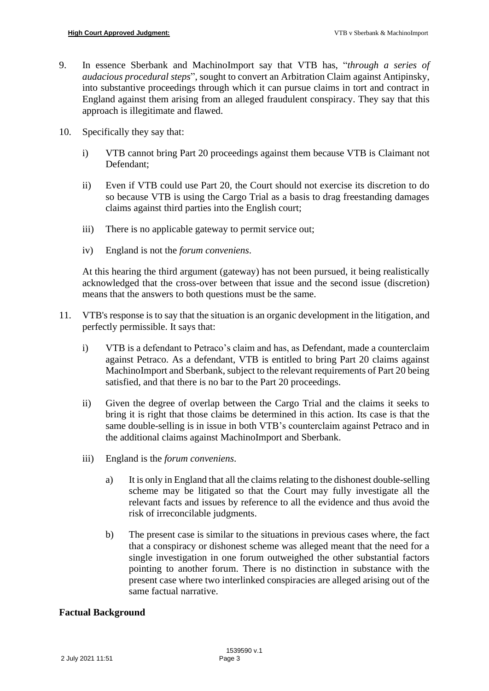- 9. In essence Sberbank and MachinoImport say that VTB has, "*through a series of audacious procedural steps*", sought to convert an Arbitration Claim against Antipinsky, into substantive proceedings through which it can pursue claims in tort and contract in England against them arising from an alleged fraudulent conspiracy. They say that this approach is illegitimate and flawed.
- 10. Specifically they say that:
	- i) VTB cannot bring Part 20 proceedings against them because VTB is Claimant not Defendant;
	- ii) Even if VTB could use Part 20, the Court should not exercise its discretion to do so because VTB is using the Cargo Trial as a basis to drag freestanding damages claims against third parties into the English court;
	- iii) There is no applicable gateway to permit service out;
	- iv) England is not the *forum conveniens*.

At this hearing the third argument (gateway) has not been pursued, it being realistically acknowledged that the cross-over between that issue and the second issue (discretion) means that the answers to both questions must be the same.

- 11. VTB's response is to say that the situation is an organic development in the litigation, and perfectly permissible. It says that:
	- i) VTB is a defendant to Petraco's claim and has, as Defendant, made a counterclaim against Petraco. As a defendant, VTB is entitled to bring Part 20 claims against MachinoImport and Sberbank, subject to the relevant requirements of Part 20 being satisfied, and that there is no bar to the Part 20 proceedings.
	- ii) Given the degree of overlap between the Cargo Trial and the claims it seeks to bring it is right that those claims be determined in this action. Its case is that the same double-selling is in issue in both VTB's counterclaim against Petraco and in the additional claims against MachinoImport and Sberbank.
	- iii) England is the *forum conveniens*.
		- a) It is only in England that all the claims relating to the dishonest double-selling scheme may be litigated so that the Court may fully investigate all the relevant facts and issues by reference to all the evidence and thus avoid the risk of irreconcilable judgments.
		- b) The present case is similar to the situations in previous cases where, the fact that a conspiracy or dishonest scheme was alleged meant that the need for a single investigation in one forum outweighed the other substantial factors pointing to another forum. There is no distinction in substance with the present case where two interlinked conspiracies are alleged arising out of the same factual narrative.

# **Factual Background**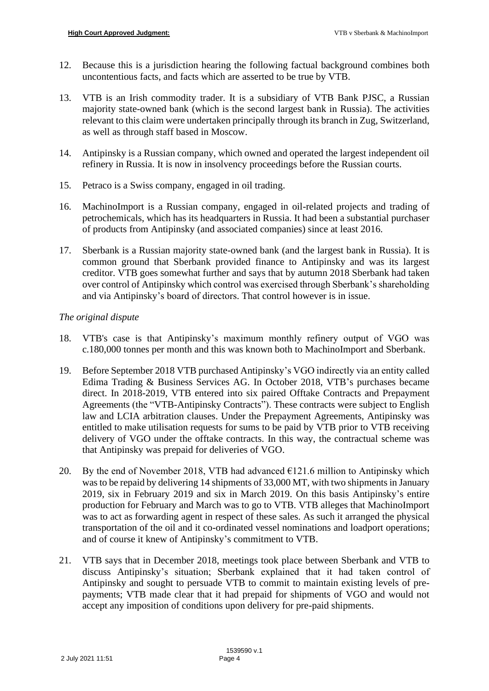- 12. Because this is a jurisdiction hearing the following factual background combines both uncontentious facts, and facts which are asserted to be true by VTB.
- 13. VTB is an Irish commodity trader. It is a subsidiary of VTB Bank PJSC, a Russian majority state-owned bank (which is the second largest bank in Russia). The activities relevant to this claim were undertaken principally through its branch in Zug, Switzerland, as well as through staff based in Moscow.
- 14. Antipinsky is a Russian company, which owned and operated the largest independent oil refinery in Russia. It is now in insolvency proceedings before the Russian courts.
- 15. Petraco is a Swiss company, engaged in oil trading.
- 16. MachinoImport is a Russian company, engaged in oil-related projects and trading of petrochemicals, which has its headquarters in Russia. It had been a substantial purchaser of products from Antipinsky (and associated companies) since at least 2016.
- 17. Sberbank is a Russian majority state-owned bank (and the largest bank in Russia). It is common ground that Sberbank provided finance to Antipinsky and was its largest creditor. VTB goes somewhat further and says that by autumn 2018 Sberbank had taken over control of Antipinsky which control was exercised through Sberbank's shareholding and via Antipinsky's board of directors. That control however is in issue.

# *The original dispute*

- 18. VTB's case is that Antipinsky's maximum monthly refinery output of VGO was c.180,000 tonnes per month and this was known both to MachinoImport and Sberbank.
- 19. Before September 2018 VTB purchased Antipinsky's VGO indirectly via an entity called Edima Trading & Business Services AG. In October 2018, VTB's purchases became direct. In 2018-2019, VTB entered into six paired Offtake Contracts and Prepayment Agreements (the "VTB-Antipinsky Contracts"). These contracts were subject to English law and LCIA arbitration clauses. Under the Prepayment Agreements, Antipinsky was entitled to make utilisation requests for sums to be paid by VTB prior to VTB receiving delivery of VGO under the offtake contracts. In this way, the contractual scheme was that Antipinsky was prepaid for deliveries of VGO.
- 20. By the end of November 2018, VTB had advanced  $\epsilon$ 121.6 million to Antipinsky which was to be repaid by delivering 14 shipments of 33,000 MT, with two shipments in January 2019, six in February 2019 and six in March 2019. On this basis Antipinsky's entire production for February and March was to go to VTB. VTB alleges that MachinoImport was to act as forwarding agent in respect of these sales. As such it arranged the physical transportation of the oil and it co-ordinated vessel nominations and loadport operations; and of course it knew of Antipinsky's commitment to VTB.
- 21. VTB says that in December 2018, meetings took place between Sberbank and VTB to discuss Antipinsky's situation; Sberbank explained that it had taken control of Antipinsky and sought to persuade VTB to commit to maintain existing levels of prepayments; VTB made clear that it had prepaid for shipments of VGO and would not accept any imposition of conditions upon delivery for pre-paid shipments.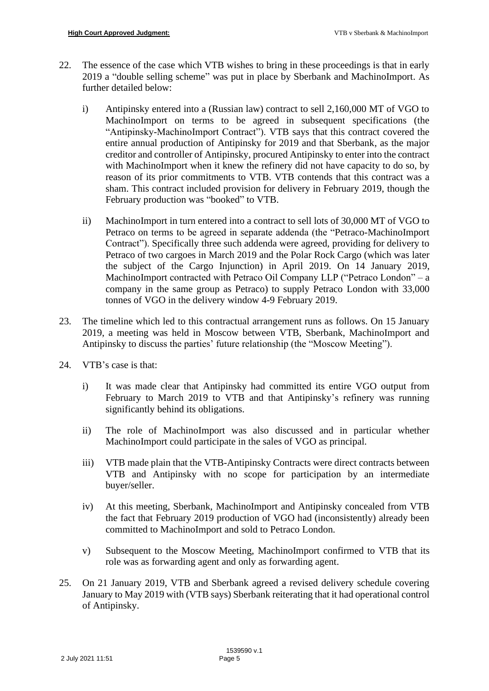- 22. The essence of the case which VTB wishes to bring in these proceedings is that in early 2019 a "double selling scheme" was put in place by Sberbank and MachinoImport. As further detailed below:
	- i) Antipinsky entered into a (Russian law) contract to sell 2,160,000 MT of VGO to MachinoImport on terms to be agreed in subsequent specifications (the "Antipinsky-MachinoImport Contract"). VTB says that this contract covered the entire annual production of Antipinsky for 2019 and that Sberbank, as the major creditor and controller of Antipinsky, procured Antipinsky to enter into the contract with MachinoImport when it knew the refinery did not have capacity to do so, by reason of its prior commitments to VTB. VTB contends that this contract was a sham. This contract included provision for delivery in February 2019, though the February production was "booked" to VTB.
	- ii) MachinoImport in turn entered into a contract to sell lots of 30,000 MT of VGO to Petraco on terms to be agreed in separate addenda (the "Petraco-MachinoImport Contract"). Specifically three such addenda were agreed, providing for delivery to Petraco of two cargoes in March 2019 and the Polar Rock Cargo (which was later the subject of the Cargo Injunction) in April 2019. On 14 January 2019, MachinoImport contracted with Petraco Oil Company LLP ("Petraco London" – a company in the same group as Petraco) to supply Petraco London with 33,000 tonnes of VGO in the delivery window 4-9 February 2019.
- 23. The timeline which led to this contractual arrangement runs as follows. On 15 January 2019, a meeting was held in Moscow between VTB, Sberbank, MachinoImport and Antipinsky to discuss the parties' future relationship (the "Moscow Meeting").
- 24. VTB's case is that:
	- i) It was made clear that Antipinsky had committed its entire VGO output from February to March 2019 to VTB and that Antipinsky's refinery was running significantly behind its obligations.
	- ii) The role of MachinoImport was also discussed and in particular whether MachinoImport could participate in the sales of VGO as principal.
	- iii) VTB made plain that the VTB-Antipinsky Contracts were direct contracts between VTB and Antipinsky with no scope for participation by an intermediate buyer/seller.
	- iv) At this meeting, Sberbank, MachinoImport and Antipinsky concealed from VTB the fact that February 2019 production of VGO had (inconsistently) already been committed to MachinoImport and sold to Petraco London.
	- v) Subsequent to the Moscow Meeting, MachinoImport confirmed to VTB that its role was as forwarding agent and only as forwarding agent.
- 25. On 21 January 2019, VTB and Sberbank agreed a revised delivery schedule covering January to May 2019 with (VTB says) Sberbank reiterating that it had operational control of Antipinsky.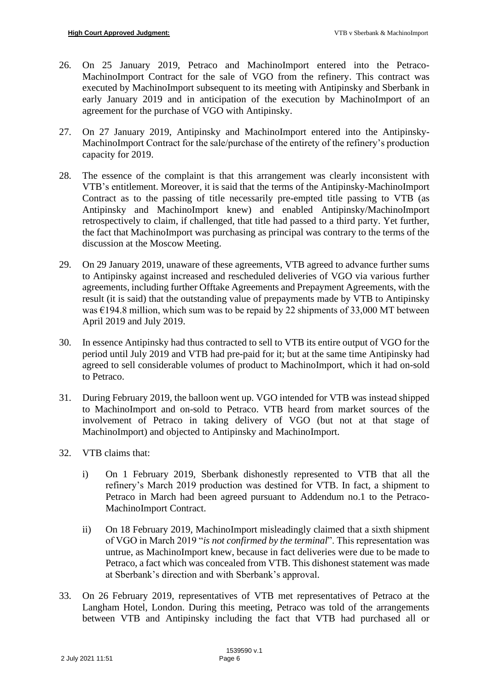- 26. On 25 January 2019, Petraco and MachinoImport entered into the Petraco-MachinoImport Contract for the sale of VGO from the refinery. This contract was executed by MachinoImport subsequent to its meeting with Antipinsky and Sberbank in early January 2019 and in anticipation of the execution by MachinoImport of an agreement for the purchase of VGO with Antipinsky.
- 27. On 27 January 2019, Antipinsky and MachinoImport entered into the Antipinsky-MachinoImport Contract for the sale/purchase of the entirety of the refinery's production capacity for 2019.
- 28. The essence of the complaint is that this arrangement was clearly inconsistent with VTB's entitlement. Moreover, it is said that the terms of the Antipinsky-MachinoImport Contract as to the passing of title necessarily pre-empted title passing to VTB (as Antipinsky and MachinoImport knew) and enabled Antipinsky/MachinoImport retrospectively to claim, if challenged, that title had passed to a third party. Yet further, the fact that MachinoImport was purchasing as principal was contrary to the terms of the discussion at the Moscow Meeting.
- 29. On 29 January 2019, unaware of these agreements, VTB agreed to advance further sums to Antipinsky against increased and rescheduled deliveries of VGO via various further agreements, including further Offtake Agreements and Prepayment Agreements, with the result (it is said) that the outstanding value of prepayments made by VTB to Antipinsky was  $\epsilon$ 194.8 million, which sum was to be repaid by 22 shipments of 33,000 MT between April 2019 and July 2019.
- 30. In essence Antipinsky had thus contracted to sell to VTB its entire output of VGO for the period until July 2019 and VTB had pre-paid for it; but at the same time Antipinsky had agreed to sell considerable volumes of product to MachinoImport, which it had on-sold to Petraco.
- 31. During February 2019, the balloon went up. VGO intended for VTB was instead shipped to MachinoImport and on-sold to Petraco. VTB heard from market sources of the involvement of Petraco in taking delivery of VGO (but not at that stage of MachinoImport) and objected to Antipinsky and MachinoImport.
- 32. VTB claims that:
	- i) On 1 February 2019, Sberbank dishonestly represented to VTB that all the refinery's March 2019 production was destined for VTB. In fact, a shipment to Petraco in March had been agreed pursuant to Addendum no.1 to the Petraco-MachinoImport Contract.
	- ii) On 18 February 2019, MachinoImport misleadingly claimed that a sixth shipment of VGO in March 2019 "*is not confirmed by the terminal*". This representation was untrue, as MachinoImport knew, because in fact deliveries were due to be made to Petraco, a fact which was concealed from VTB. This dishonest statement was made at Sberbank's direction and with Sberbank's approval.
- 33. On 26 February 2019, representatives of VTB met representatives of Petraco at the Langham Hotel, London. During this meeting, Petraco was told of the arrangements between VTB and Antipinsky including the fact that VTB had purchased all or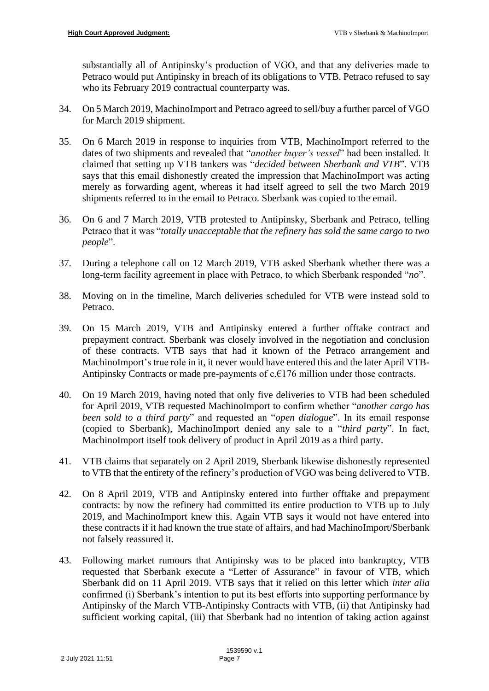substantially all of Antipinsky's production of VGO, and that any deliveries made to Petraco would put Antipinsky in breach of its obligations to VTB. Petraco refused to say who its February 2019 contractual counterparty was.

- 34. On 5 March 2019, MachinoImport and Petraco agreed to sell/buy a further parcel of VGO for March 2019 shipment.
- 35. On 6 March 2019 in response to inquiries from VTB, MachinoImport referred to the dates of two shipments and revealed that "*another buyer's vessel*" had been installed. It claimed that setting up VTB tankers was "*decided between Sberbank and VTB*". VTB says that this email dishonestly created the impression that MachinoImport was acting merely as forwarding agent, whereas it had itself agreed to sell the two March 2019 shipments referred to in the email to Petraco. Sberbank was copied to the email.
- 36. On 6 and 7 March 2019, VTB protested to Antipinsky, Sberbank and Petraco, telling Petraco that it was "*totally unacceptable that the refinery has sold the same cargo to two people*".
- 37. During a telephone call on 12 March 2019, VTB asked Sberbank whether there was a long-term facility agreement in place with Petraco, to which Sberbank responded "*no*".
- 38. Moving on in the timeline, March deliveries scheduled for VTB were instead sold to Petraco.
- 39. On 15 March 2019, VTB and Antipinsky entered a further offtake contract and prepayment contract. Sberbank was closely involved in the negotiation and conclusion of these contracts. VTB says that had it known of the Petraco arrangement and MachinoImport's true role in it, it never would have entered this and the later April VTB-Antipinsky Contracts or made pre-payments of c.€176 million under those contracts.
- 40. On 19 March 2019, having noted that only five deliveries to VTB had been scheduled for April 2019, VTB requested MachinoImport to confirm whether "*another cargo has been sold to a third party*" and requested an "*open dialogue*". In its email response (copied to Sberbank), MachinoImport denied any sale to a "*third party*". In fact, MachinoImport itself took delivery of product in April 2019 as a third party.
- 41. VTB claims that separately on 2 April 2019, Sberbank likewise dishonestly represented to VTB that the entirety of the refinery's production of VGO was being delivered to VTB.
- 42. On 8 April 2019, VTB and Antipinsky entered into further offtake and prepayment contracts: by now the refinery had committed its entire production to VTB up to July 2019, and MachinoImport knew this. Again VTB says it would not have entered into these contracts if it had known the true state of affairs, and had MachinoImport/Sberbank not falsely reassured it.
- 43. Following market rumours that Antipinsky was to be placed into bankruptcy, VTB requested that Sberbank execute a "Letter of Assurance" in favour of VTB, which Sberbank did on 11 April 2019. VTB says that it relied on this letter which *inter alia* confirmed (i) Sberbank's intention to put its best efforts into supporting performance by Antipinsky of the March VTB-Antipinsky Contracts with VTB, (ii) that Antipinsky had sufficient working capital, (iii) that Sberbank had no intention of taking action against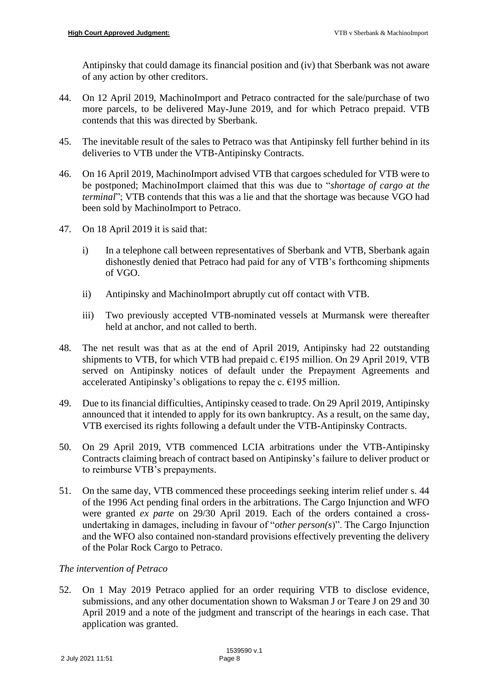Antipinsky that could damage its financial position and (iv) that Sberbank was not aware of any action by other creditors.

- 44. On 12 April 2019, MachinoImport and Petraco contracted for the sale/purchase of two more parcels, to be delivered May-June 2019, and for which Petraco prepaid. VTB contends that this was directed by Sberbank.
- 45. The inevitable result of the sales to Petraco was that Antipinsky fell further behind in its deliveries to VTB under the VTB-Antipinsky Contracts.
- 46. On 16 April 2019, MachinoImport advised VTB that cargoes scheduled for VTB were to be postponed; MachinoImport claimed that this was due to "*shortage of cargo at the terminal*"; VTB contends that this was a lie and that the shortage was because VGO had been sold by MachinoImport to Petraco.
- 47. On 18 April 2019 it is said that:
	- i) In a telephone call between representatives of Sberbank and VTB, Sberbank again dishonestly denied that Petraco had paid for any of VTB's forthcoming shipments of VGO.
	- ii) Antipinsky and MachinoImport abruptly cut off contact with VTB.
	- iii) Two previously accepted VTB-nominated vessels at Murmansk were thereafter held at anchor, and not called to berth.
- 48. The net result was that as at the end of April 2019, Antipinsky had 22 outstanding shipments to VTB, for which VTB had prepaid c.  $\epsilon$ 195 million. On 29 April 2019, VTB served on Antipinsky notices of default under the Prepayment Agreements and accelerated Antipinsky's obligations to repay the c.  $\epsilon$ 195 million.
- 49. Due to its financial difficulties, Antipinsky ceased to trade. On 29 April 2019, Antipinsky announced that it intended to apply for its own bankruptcy. As a result, on the same day, VTB exercised its rights following a default under the VTB-Antipinsky Contracts.
- 50. On 29 April 2019, VTB commenced LCIA arbitrations under the VTB-Antipinsky Contracts claiming breach of contract based on Antipinsky's failure to deliver product or to reimburse VTB's prepayments.
- 51. On the same day, VTB commenced these proceedings seeking interim relief under s. 44 of the 1996 Act pending final orders in the arbitrations. The Cargo Injunction and WFO were granted *ex parte* on 29/30 April 2019. Each of the orders contained a crossundertaking in damages, including in favour of "*other person(s*)". The Cargo Injunction and the WFO also contained non-standard provisions effectively preventing the delivery of the Polar Rock Cargo to Petraco.

# *The intervention of Petraco*

52. On 1 May 2019 Petraco applied for an order requiring VTB to disclose evidence, submissions, and any other documentation shown to Waksman J or Teare J on 29 and 30 April 2019 and a note of the judgment and transcript of the hearings in each case. That application was granted.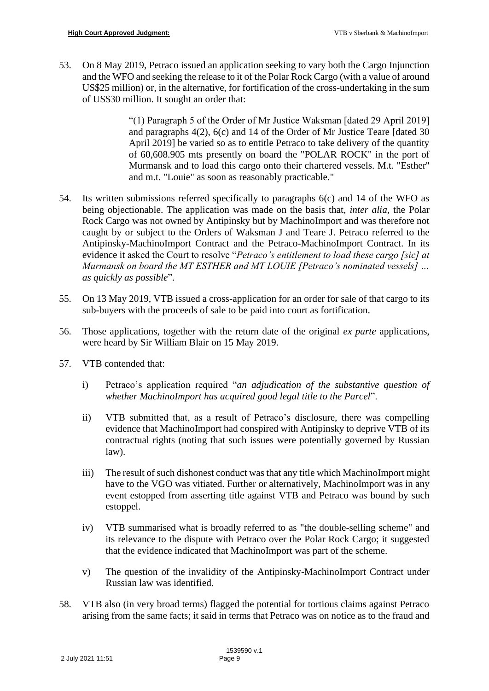53. On 8 May 2019, Petraco issued an application seeking to vary both the Cargo Injunction and the WFO and seeking the release to it of the Polar Rock Cargo (with a value of around US\$25 million) or, in the alternative, for fortification of the cross-undertaking in the sum of US\$30 million. It sought an order that:

> "(1) Paragraph 5 of the Order of Mr Justice Waksman [dated 29 April 2019] and paragraphs 4(2), 6(c) and 14 of the Order of Mr Justice Teare [dated 30 April 2019] be varied so as to entitle Petraco to take delivery of the quantity of 60,608.905 mts presently on board the "POLAR ROCK" in the port of Murmansk and to load this cargo onto their chartered vessels. M.t. "Esther'' and m.t. "Louie" as soon as reasonably practicable."

- 54. Its written submissions referred specifically to paragraphs 6(c) and 14 of the WFO as being objectionable. The application was made on the basis that, *inter alia*, the Polar Rock Cargo was not owned by Antipinsky but by MachinoImport and was therefore not caught by or subject to the Orders of Waksman J and Teare J. Petraco referred to the Antipinsky-MachinoImport Contract and the Petraco-MachinoImport Contract. In its evidence it asked the Court to resolve "*Petraco's entitlement to load these cargo [sic] at Murmansk on board the MT ESTHER and MT LOUIE [Petraco's nominated vessels] … as quickly as possible*".
- 55. On 13 May 2019, VTB issued a cross-application for an order for sale of that cargo to its sub-buyers with the proceeds of sale to be paid into court as fortification.
- 56. Those applications, together with the return date of the original *ex parte* applications, were heard by Sir William Blair on 15 May 2019.
- 57. VTB contended that:
	- i) Petraco's application required "*an adjudication of the substantive question of whether MachinoImport has acquired good legal title to the Parcel*".
	- ii) VTB submitted that, as a result of Petraco's disclosure, there was compelling evidence that MachinoImport had conspired with Antipinsky to deprive VTB of its contractual rights (noting that such issues were potentially governed by Russian law).
	- iii) The result of such dishonest conduct was that any title which MachinoImport might have to the VGO was vitiated. Further or alternatively, MachinoImport was in any event estopped from asserting title against VTB and Petraco was bound by such estoppel.
	- iv) VTB summarised what is broadly referred to as "the double-selling scheme" and its relevance to the dispute with Petraco over the Polar Rock Cargo; it suggested that the evidence indicated that MachinoImport was part of the scheme.
	- v) The question of the invalidity of the Antipinsky-MachinoImport Contract under Russian law was identified.
- 58. VTB also (in very broad terms) flagged the potential for tortious claims against Petraco arising from the same facts; it said in terms that Petraco was on notice as to the fraud and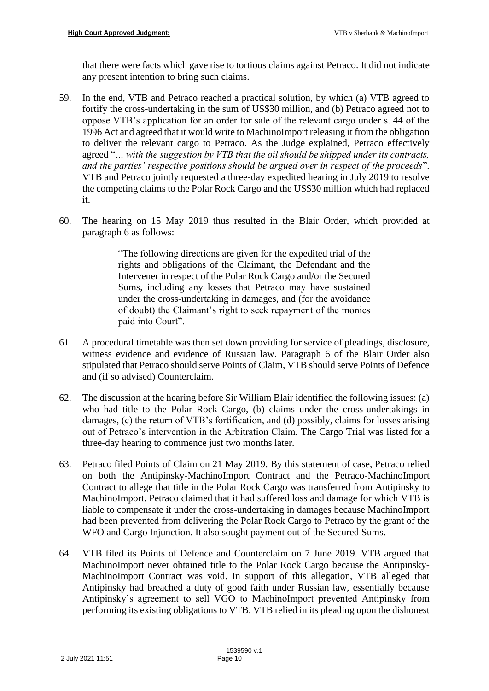that there were facts which gave rise to tortious claims against Petraco. It did not indicate any present intention to bring such claims.

- 59. In the end, VTB and Petraco reached a practical solution, by which (a) VTB agreed to fortify the cross-undertaking in the sum of US\$30 million, and (b) Petraco agreed not to oppose VTB's application for an order for sale of the relevant cargo under s. 44 of the 1996 Act and agreed that it would write to MachinoImport releasing it from the obligation to deliver the relevant cargo to Petraco. As the Judge explained, Petraco effectively agreed "*… with the suggestion by VTB that the oil should be shipped under its contracts, and the parties' respective positions should be argued over in respect of the proceeds*". VTB and Petraco jointly requested a three-day expedited hearing in July 2019 to resolve the competing claims to the Polar Rock Cargo and the US\$30 million which had replaced it.
- 60. The hearing on 15 May 2019 thus resulted in the Blair Order, which provided at paragraph 6 as follows:

"The following directions are given for the expedited trial of the rights and obligations of the Claimant, the Defendant and the Intervener in respect of the Polar Rock Cargo and/or the Secured Sums, including any losses that Petraco may have sustained under the cross-undertaking in damages, and (for the avoidance of doubt) the Claimant's right to seek repayment of the monies paid into Court".

- 61. A procedural timetable was then set down providing for service of pleadings, disclosure, witness evidence and evidence of Russian law. Paragraph 6 of the Blair Order also stipulated that Petraco should serve Points of Claim, VTB should serve Points of Defence and (if so advised) Counterclaim.
- 62. The discussion at the hearing before Sir William Blair identified the following issues: (a) who had title to the Polar Rock Cargo, (b) claims under the cross-undertakings in damages, (c) the return of VTB's fortification, and (d) possibly, claims for losses arising out of Petraco's intervention in the Arbitration Claim. The Cargo Trial was listed for a three-day hearing to commence just two months later.
- 63. Petraco filed Points of Claim on 21 May 2019. By this statement of case, Petraco relied on both the Antipinsky-MachinoImport Contract and the Petraco-MachinoImport Contract to allege that title in the Polar Rock Cargo was transferred from Antipinsky to MachinoImport. Petraco claimed that it had suffered loss and damage for which VTB is liable to compensate it under the cross-undertaking in damages because MachinoImport had been prevented from delivering the Polar Rock Cargo to Petraco by the grant of the WFO and Cargo Injunction. It also sought payment out of the Secured Sums.
- 64. VTB filed its Points of Defence and Counterclaim on 7 June 2019. VTB argued that MachinoImport never obtained title to the Polar Rock Cargo because the Antipinsky-MachinoImport Contract was void. In support of this allegation, VTB alleged that Antipinsky had breached a duty of good faith under Russian law, essentially because Antipinsky's agreement to sell VGO to MachinoImport prevented Antipinsky from performing its existing obligations to VTB. VTB relied in its pleading upon the dishonest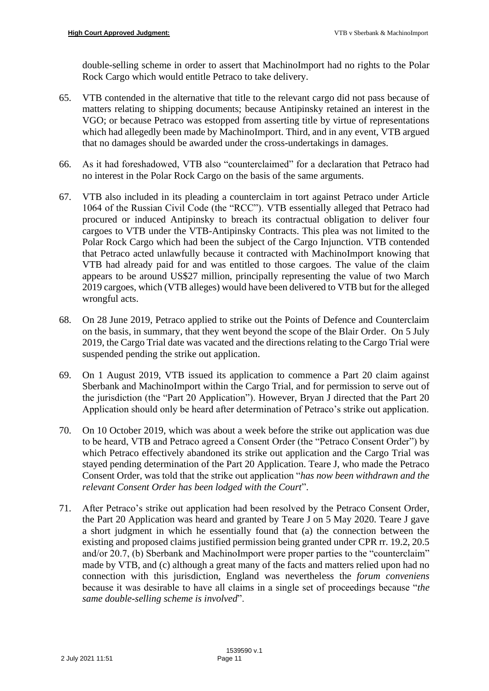double-selling scheme in order to assert that MachinoImport had no rights to the Polar Rock Cargo which would entitle Petraco to take delivery.

- 65. VTB contended in the alternative that title to the relevant cargo did not pass because of matters relating to shipping documents; because Antipinsky retained an interest in the VGO; or because Petraco was estopped from asserting title by virtue of representations which had allegedly been made by MachinoImport. Third, and in any event, VTB argued that no damages should be awarded under the cross-undertakings in damages.
- 66. As it had foreshadowed, VTB also "counterclaimed" for a declaration that Petraco had no interest in the Polar Rock Cargo on the basis of the same arguments.
- 67. VTB also included in its pleading a counterclaim in tort against Petraco under Article 1064 of the Russian Civil Code (the "RCC"). VTB essentially alleged that Petraco had procured or induced Antipinsky to breach its contractual obligation to deliver four cargoes to VTB under the VTB-Antipinsky Contracts. This plea was not limited to the Polar Rock Cargo which had been the subject of the Cargo Injunction. VTB contended that Petraco acted unlawfully because it contracted with MachinoImport knowing that VTB had already paid for and was entitled to those cargoes. The value of the claim appears to be around US\$27 million, principally representing the value of two March 2019 cargoes, which (VTB alleges) would have been delivered to VTB but for the alleged wrongful acts.
- 68. On 28 June 2019, Petraco applied to strike out the Points of Defence and Counterclaim on the basis, in summary, that they went beyond the scope of the Blair Order. On 5 July 2019, the Cargo Trial date was vacated and the directions relating to the Cargo Trial were suspended pending the strike out application.
- 69. On 1 August 2019, VTB issued its application to commence a Part 20 claim against Sberbank and MachinoImport within the Cargo Trial, and for permission to serve out of the jurisdiction (the "Part 20 Application"). However, Bryan J directed that the Part 20 Application should only be heard after determination of Petraco's strike out application.
- 70. On 10 October 2019, which was about a week before the strike out application was due to be heard, VTB and Petraco agreed a Consent Order (the "Petraco Consent Order") by which Petraco effectively abandoned its strike out application and the Cargo Trial was stayed pending determination of the Part 20 Application. Teare J, who made the Petraco Consent Order, was told that the strike out application "*has now been withdrawn and the relevant Consent Order has been lodged with the Court*".
- 71. After Petraco's strike out application had been resolved by the Petraco Consent Order, the Part 20 Application was heard and granted by Teare J on 5 May 2020. Teare J gave a short judgment in which he essentially found that (a) the connection between the existing and proposed claims justified permission being granted under CPR rr. 19.2, 20.5 and/or 20.7, (b) Sberbank and MachinoImport were proper parties to the "counterclaim" made by VTB, and (c) although a great many of the facts and matters relied upon had no connection with this jurisdiction, England was nevertheless the *forum conveniens* because it was desirable to have all claims in a single set of proceedings because "*the same double-selling scheme is involved*".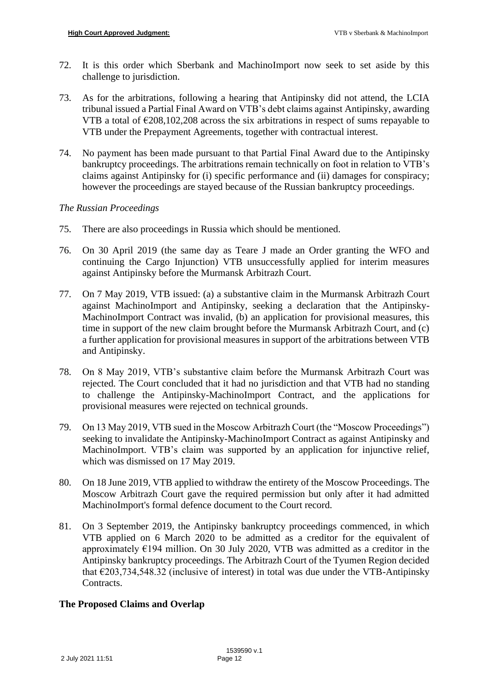- 72. It is this order which Sberbank and MachinoImport now seek to set aside by this challenge to jurisdiction.
- 73. As for the arbitrations, following a hearing that Antipinsky did not attend, the LCIA tribunal issued a Partial Final Award on VTB's debt claims against Antipinsky, awarding VTB a total of  $\epsilon$ 208,102,208 across the six arbitrations in respect of sums repayable to VTB under the Prepayment Agreements, together with contractual interest.
- 74. No payment has been made pursuant to that Partial Final Award due to the Antipinsky bankruptcy proceedings. The arbitrations remain technically on foot in relation to VTB's claims against Antipinsky for (i) specific performance and (ii) damages for conspiracy; however the proceedings are stayed because of the Russian bankruptcy proceedings.

# *The Russian Proceedings*

- 75. There are also proceedings in Russia which should be mentioned.
- 76. On 30 April 2019 (the same day as Teare J made an Order granting the WFO and continuing the Cargo Injunction) VTB unsuccessfully applied for interim measures against Antipinsky before the Murmansk Arbitrazh Court.
- 77. On 7 May 2019, VTB issued: (a) a substantive claim in the Murmansk Arbitrazh Court against MachinoImport and Antipinsky, seeking a declaration that the Antipinsky-MachinoImport Contract was invalid, (b) an application for provisional measures, this time in support of the new claim brought before the Murmansk Arbitrazh Court, and (c) a further application for provisional measures in support of the arbitrations between VTB and Antipinsky.
- 78. On 8 May 2019, VTB's substantive claim before the Murmansk Arbitrazh Court was rejected. The Court concluded that it had no jurisdiction and that VTB had no standing to challenge the Antipinsky-MachinoImport Contract, and the applications for provisional measures were rejected on technical grounds.
- 79. On 13 May 2019, VTB sued in the Moscow Arbitrazh Court (the "Moscow Proceedings") seeking to invalidate the Antipinsky-MachinoImport Contract as against Antipinsky and MachinoImport. VTB's claim was supported by an application for injunctive relief, which was dismissed on 17 May 2019.
- 80. On 18 June 2019, VTB applied to withdraw the entirety of the Moscow Proceedings. The Moscow Arbitrazh Court gave the required permission but only after it had admitted MachinoImport's formal defence document to the Court record.
- 81. On 3 September 2019, the Antipinsky bankruptcy proceedings commenced, in which VTB applied on 6 March 2020 to be admitted as a creditor for the equivalent of approximately €194 million. On 30 July 2020, VTB was admitted as a creditor in the Antipinsky bankruptcy proceedings. The Arbitrazh Court of the Tyumen Region decided that  $\epsilon$ 203,734,548.32 (inclusive of interest) in total was due under the VTB-Antipinsky Contracts.

# **The Proposed Claims and Overlap**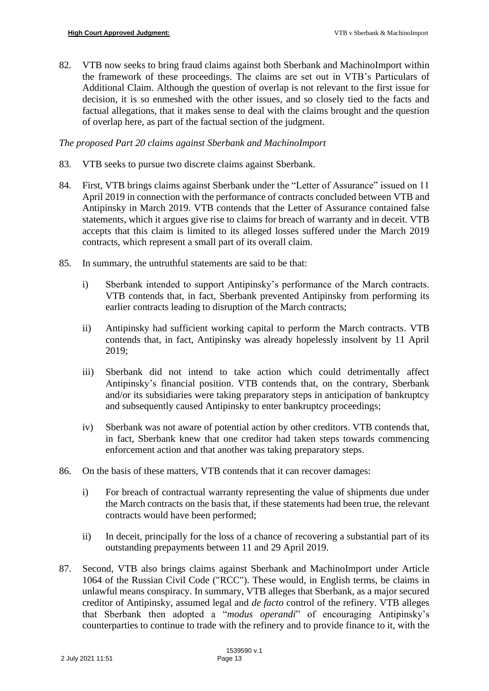82. VTB now seeks to bring fraud claims against both Sberbank and MachinoImport within the framework of these proceedings. The claims are set out in VTB's Particulars of Additional Claim. Although the question of overlap is not relevant to the first issue for decision, it is so enmeshed with the other issues, and so closely tied to the facts and factual allegations, that it makes sense to deal with the claims brought and the question of overlap here, as part of the factual section of the judgment.

## *The proposed Part 20 claims against Sberbank and MachinoImport*

- 83. VTB seeks to pursue two discrete claims against Sberbank.
- 84. First, VTB brings claims against Sberbank under the "Letter of Assurance" issued on 11 April 2019 in connection with the performance of contracts concluded between VTB and Antipinsky in March 2019. VTB contends that the Letter of Assurance contained false statements, which it argues give rise to claims for breach of warranty and in deceit. VTB accepts that this claim is limited to its alleged losses suffered under the March 2019 contracts, which represent a small part of its overall claim.
- 85. In summary, the untruthful statements are said to be that:
	- i) Sberbank intended to support Antipinsky's performance of the March contracts. VTB contends that, in fact, Sberbank prevented Antipinsky from performing its earlier contracts leading to disruption of the March contracts;
	- ii) Antipinsky had sufficient working capital to perform the March contracts. VTB contends that, in fact, Antipinsky was already hopelessly insolvent by 11 April 2019;
	- iii) Sberbank did not intend to take action which could detrimentally affect Antipinsky's financial position. VTB contends that, on the contrary, Sberbank and/or its subsidiaries were taking preparatory steps in anticipation of bankruptcy and subsequently caused Antipinsky to enter bankruptcy proceedings;
	- iv) Sberbank was not aware of potential action by other creditors. VTB contends that, in fact, Sberbank knew that one creditor had taken steps towards commencing enforcement action and that another was taking preparatory steps.
- 86. On the basis of these matters, VTB contends that it can recover damages:
	- i) For breach of contractual warranty representing the value of shipments due under the March contracts on the basis that, if these statements had been true, the relevant contracts would have been performed;
	- ii) In deceit, principally for the loss of a chance of recovering a substantial part of its outstanding prepayments between 11 and 29 April 2019.
- 87. Second, VTB also brings claims against Sberbank and MachinoImport under Article 1064 of the Russian Civil Code ("RCC"). These would, in English terms, be claims in unlawful means conspiracy. In summary, VTB alleges that Sberbank, as a major secured creditor of Antipinsky, assumed legal and *de facto* control of the refinery. VTB alleges that Sberbank then adopted a "*modus operandi*" of encouraging Antipinsky's counterparties to continue to trade with the refinery and to provide finance to it, with the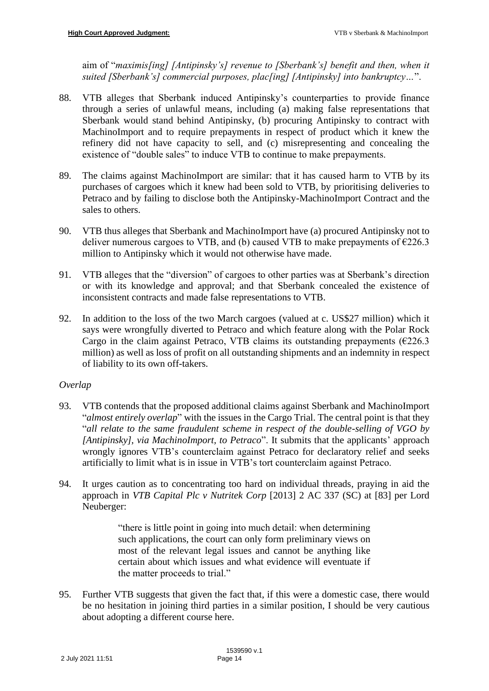aim of "*maximis[ing] [Antipinsky's] revenue to [Sberbank's] benefit and then, when it suited [Sberbank's] commercial purposes, plac[ing] [Antipinsky] into bankruptcy…*".

- 88. VTB alleges that Sberbank induced Antipinsky's counterparties to provide finance through a series of unlawful means, including (a) making false representations that Sberbank would stand behind Antipinsky, (b) procuring Antipinsky to contract with MachinoImport and to require prepayments in respect of product which it knew the refinery did not have capacity to sell, and (c) misrepresenting and concealing the existence of "double sales" to induce VTB to continue to make prepayments.
- 89. The claims against MachinoImport are similar: that it has caused harm to VTB by its purchases of cargoes which it knew had been sold to VTB, by prioritising deliveries to Petraco and by failing to disclose both the Antipinsky-MachinoImport Contract and the sales to others.
- 90. VTB thus alleges that Sberbank and MachinoImport have (a) procured Antipinsky not to deliver numerous cargoes to VTB, and (b) caused VTB to make prepayments of  $\epsilon$ 226.3 million to Antipinsky which it would not otherwise have made.
- 91. VTB alleges that the "diversion" of cargoes to other parties was at Sberbank's direction or with its knowledge and approval; and that Sberbank concealed the existence of inconsistent contracts and made false representations to VTB.
- 92. In addition to the loss of the two March cargoes (valued at c. US\$27 million) which it says were wrongfully diverted to Petraco and which feature along with the Polar Rock Cargo in the claim against Petraco, VTB claims its outstanding prepayments ( $\epsilon$ 226.3 million) as well as loss of profit on all outstanding shipments and an indemnity in respect of liability to its own off-takers.

# *Overlap*

- 93. VTB contends that the proposed additional claims against Sberbank and MachinoImport "*almost entirely overlap*" with the issues in the Cargo Trial. The central point is that they "*all relate to the same fraudulent scheme in respect of the double-selling of VGO by [Antipinsky], via MachinoImport, to Petraco*". It submits that the applicants' approach wrongly ignores VTB's counterclaim against Petraco for declaratory relief and seeks artificially to limit what is in issue in VTB's tort counterclaim against Petraco.
- 94. It urges caution as to concentrating too hard on individual threads, praying in aid the approach in *VTB Capital Plc v Nutritek Corp* [2013] 2 AC 337 (SC) at [83] per Lord Neuberger:

"there is little point in going into much detail: when determining such applications, the court can only form preliminary views on most of the relevant legal issues and cannot be anything like certain about which issues and what evidence will eventuate if the matter proceeds to trial."

95. Further VTB suggests that given the fact that, if this were a domestic case, there would be no hesitation in joining third parties in a similar position, I should be very cautious about adopting a different course here.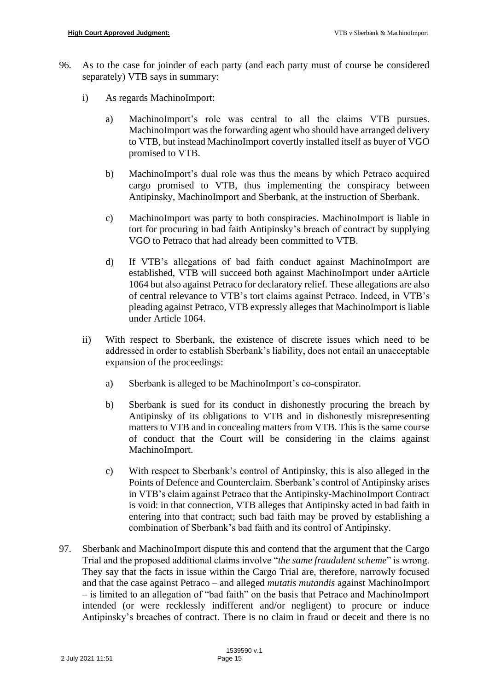- 96. As to the case for joinder of each party (and each party must of course be considered separately) VTB says in summary:
	- i) As regards MachinoImport:
		- a) MachinoImport's role was central to all the claims VTB pursues. MachinoImport was the forwarding agent who should have arranged delivery to VTB, but instead MachinoImport covertly installed itself as buyer of VGO promised to VTB.
		- b) MachinoImport's dual role was thus the means by which Petraco acquired cargo promised to VTB, thus implementing the conspiracy between Antipinsky, MachinoImport and Sberbank, at the instruction of Sberbank.
		- c) MachinoImport was party to both conspiracies. MachinoImport is liable in tort for procuring in bad faith Antipinsky's breach of contract by supplying VGO to Petraco that had already been committed to VTB.
		- d) If VTB's allegations of bad faith conduct against MachinoImport are established, VTB will succeed both against MachinoImport under aArticle 1064 but also against Petraco for declaratory relief. These allegations are also of central relevance to VTB's tort claims against Petraco. Indeed, in VTB's pleading against Petraco, VTB expressly alleges that MachinoImport is liable under Article 1064.
	- ii) With respect to Sberbank, the existence of discrete issues which need to be addressed in order to establish Sberbank's liability, does not entail an unacceptable expansion of the proceedings:
		- a) Sberbank is alleged to be MachinoImport's co-conspirator.
		- b) Sberbank is sued for its conduct in dishonestly procuring the breach by Antipinsky of its obligations to VTB and in dishonestly misrepresenting matters to VTB and in concealing matters from VTB. This is the same course of conduct that the Court will be considering in the claims against MachinoImport.
		- c) With respect to Sberbank's control of Antipinsky, this is also alleged in the Points of Defence and Counterclaim. Sberbank's control of Antipinsky arises in VTB's claim against Petraco that the Antipinsky-MachinoImport Contract is void: in that connection, VTB alleges that Antipinsky acted in bad faith in entering into that contract; such bad faith may be proved by establishing a combination of Sberbank's bad faith and its control of Antipinsky.
- 97. Sberbank and MachinoImport dispute this and contend that the argument that the Cargo Trial and the proposed additional claims involve "*the same fraudulent scheme*" is wrong. They say that the facts in issue within the Cargo Trial are, therefore, narrowly focused and that the case against Petraco – and alleged *mutatis mutandis* against MachinoImport – is limited to an allegation of "bad faith" on the basis that Petraco and MachinoImport intended (or were recklessly indifferent and/or negligent) to procure or induce Antipinsky's breaches of contract. There is no claim in fraud or deceit and there is no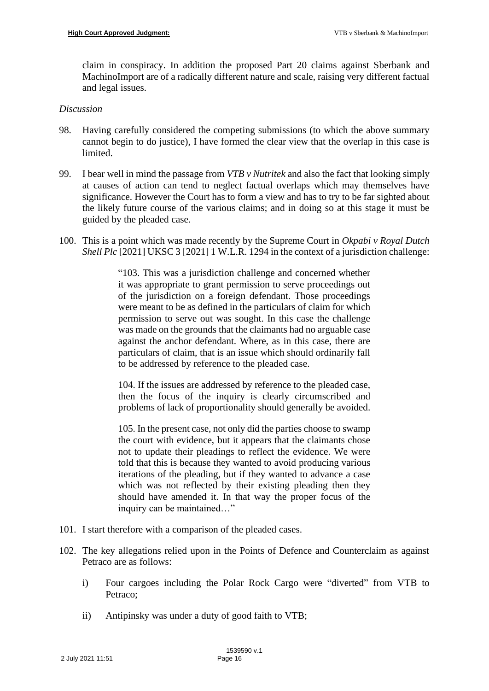claim in conspiracy. In addition the proposed Part 20 claims against Sberbank and MachinoImport are of a radically different nature and scale, raising very different factual and legal issues.

#### *Discussion*

- 98. Having carefully considered the competing submissions (to which the above summary cannot begin to do justice), I have formed the clear view that the overlap in this case is limited.
- 99. I bear well in mind the passage from *VTB v Nutritek* and also the fact that looking simply at causes of action can tend to neglect factual overlaps which may themselves have significance. However the Court has to form a view and has to try to be far sighted about the likely future course of the various claims; and in doing so at this stage it must be guided by the pleaded case.
- 100. This is a point which was made recently by the Supreme Court in *Okpabi v Royal Dutch Shell Plc* [2021] UKSC 3 [2021] 1 W.L.R. 1294 in the context of a jurisdiction challenge:

"103. This was a jurisdiction challenge and concerned whether it was appropriate to grant permission to serve proceedings out of the jurisdiction on a foreign defendant. Those proceedings were meant to be as defined in the particulars of claim for which permission to serve out was sought. In this case the challenge was made on the grounds that the claimants had no arguable case against the anchor defendant. Where, as in this case, there are particulars of claim, that is an issue which should ordinarily fall to be addressed by reference to the pleaded case.

104. If the issues are addressed by reference to the pleaded case, then the focus of the inquiry is clearly circumscribed and problems of lack of proportionality should generally be avoided.

105. In the present case, not only did the parties choose to swamp the court with evidence, but it appears that the claimants chose not to update their pleadings to reflect the evidence. We were told that this is because they wanted to avoid producing various iterations of the pleading, but if they wanted to advance a case which was not reflected by their existing pleading then they should have amended it. In that way the proper focus of the inquiry can be maintained…"

- 101. I start therefore with a comparison of the pleaded cases.
- 102. The key allegations relied upon in the Points of Defence and Counterclaim as against Petraco are as follows:
	- i) Four cargoes including the Polar Rock Cargo were "diverted" from VTB to Petraco;
	- ii) Antipinsky was under a duty of good faith to VTB;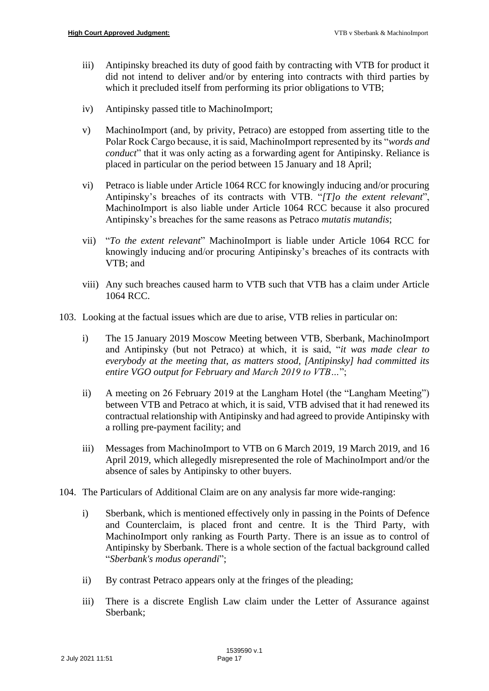- iii) Antipinsky breached its duty of good faith by contracting with VTB for product it did not intend to deliver and/or by entering into contracts with third parties by which it precluded itself from performing its prior obligations to VTB;
- iv) Antipinsky passed title to MachinoImport;
- v) MachinoImport (and, by privity, Petraco) are estopped from asserting title to the Polar Rock Cargo because, it is said, MachinoImport represented by its "*words and conduct*" that it was only acting as a forwarding agent for Antipinsky. Reliance is placed in particular on the period between 15 January and 18 April;
- vi) Petraco is liable under Article 1064 RCC for knowingly inducing and/or procuring Antipinsky's breaches of its contracts with VTB. "*[T]o the extent relevant*", MachinoImport is also liable under Article 1064 RCC because it also procured Antipinsky's breaches for the same reasons as Petraco *mutatis mutandis*;
- vii) "*To the extent relevant*" MachinoImport is liable under Article 1064 RCC for knowingly inducing and/or procuring Antipinsky's breaches of its contracts with VTB; and
- viii) Any such breaches caused harm to VTB such that VTB has a claim under Article 1064 RCC.
- 103. Looking at the factual issues which are due to arise, VTB relies in particular on:
	- i) The 15 January 2019 Moscow Meeting between VTB, Sberbank, MachinoImport and Antipinsky (but not Petraco) at which, it is said, "*it was made clear to everybody at the meeting that, as matters stood, [Antipinsky] had committed its entire VGO output for February and March 2019 to VTB…*";
	- ii) A meeting on 26 February 2019 at the Langham Hotel (the "Langham Meeting") between VTB and Petraco at which, it is said, VTB advised that it had renewed its contractual relationship with Antipinsky and had agreed to provide Antipinsky with a rolling pre-payment facility; and
	- iii) Messages from MachinoImport to VTB on 6 March 2019, 19 March 2019, and 16 April 2019, which allegedly misrepresented the role of MachinoImport and/or the absence of sales by Antipinsky to other buyers.
- 104. The Particulars of Additional Claim are on any analysis far more wide-ranging:
	- i) Sberbank, which is mentioned effectively only in passing in the Points of Defence and Counterclaim, is placed front and centre. It is the Third Party, with MachinoImport only ranking as Fourth Party. There is an issue as to control of Antipinsky by Sberbank. There is a whole section of the factual background called "*Sberbank's modus operandi*";
	- ii) By contrast Petraco appears only at the fringes of the pleading;
	- iii) There is a discrete English Law claim under the Letter of Assurance against Sberbank;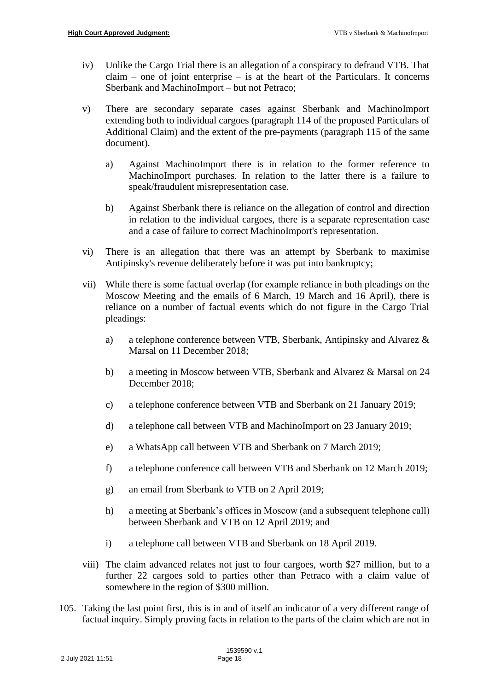- iv) Unlike the Cargo Trial there is an allegation of a conspiracy to defraud VTB. That  $claim$  – one of joint enterprise – is at the heart of the Particulars. It concerns Sberbank and MachinoImport – but not Petraco;
- v) There are secondary separate cases against Sberbank and MachinoImport extending both to individual cargoes (paragraph 114 of the proposed Particulars of Additional Claim) and the extent of the pre-payments (paragraph 115 of the same document).
	- a) Against MachinoImport there is in relation to the former reference to MachinoImport purchases. In relation to the latter there is a failure to speak/fraudulent misrepresentation case.
	- b) Against Sberbank there is reliance on the allegation of control and direction in relation to the individual cargoes, there is a separate representation case and a case of failure to correct MachinoImport's representation.
- vi) There is an allegation that there was an attempt by Sberbank to maximise Antipinsky's revenue deliberately before it was put into bankruptcy;
- vii) While there is some factual overlap (for example reliance in both pleadings on the Moscow Meeting and the emails of 6 March, 19 March and 16 April), there is reliance on a number of factual events which do not figure in the Cargo Trial pleadings:
	- a) a telephone conference between VTB, Sberbank, Antipinsky and Alvarez & Marsal on 11 December 2018;
	- b) a meeting in Moscow between VTB, Sberbank and Alvarez & Marsal on 24 December 2018;
	- c) a telephone conference between VTB and Sberbank on 21 January 2019;
	- d) a telephone call between VTB and MachinoImport on 23 January 2019;
	- e) a WhatsApp call between VTB and Sberbank on 7 March 2019;
	- f) a telephone conference call between VTB and Sberbank on 12 March 2019;
	- g) an email from Sberbank to VTB on 2 April 2019;
	- h) a meeting at Sberbank's offices in Moscow (and a subsequent telephone call) between Sberbank and VTB on 12 April 2019; and
	- i) a telephone call between VTB and Sberbank on 18 April 2019.
- viii) The claim advanced relates not just to four cargoes, worth \$27 million, but to a further 22 cargoes sold to parties other than Petraco with a claim value of somewhere in the region of \$300 million.
- 105. Taking the last point first, this is in and of itself an indicator of a very different range of factual inquiry. Simply proving facts in relation to the parts of the claim which are not in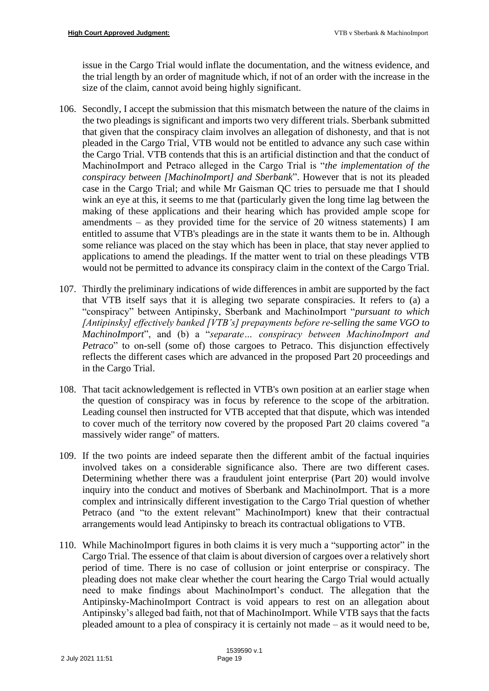issue in the Cargo Trial would inflate the documentation, and the witness evidence, and the trial length by an order of magnitude which, if not of an order with the increase in the size of the claim, cannot avoid being highly significant.

- 106. Secondly, I accept the submission that this mismatch between the nature of the claims in the two pleadings is significant and imports two very different trials. Sberbank submitted that given that the conspiracy claim involves an allegation of dishonesty, and that is not pleaded in the Cargo Trial, VTB would not be entitled to advance any such case within the Cargo Trial. VTB contends that this is an artificial distinction and that the conduct of MachinoImport and Petraco alleged in the Cargo Trial is "*the implementation of the conspiracy between [MachinoImport] and Sberbank*". However that is not its pleaded case in the Cargo Trial; and while Mr Gaisman QC tries to persuade me that I should wink an eye at this, it seems to me that (particularly given the long time lag between the making of these applications and their hearing which has provided ample scope for amendments – as they provided time for the service of 20 witness statements) I am entitled to assume that VTB's pleadings are in the state it wants them to be in. Although some reliance was placed on the stay which has been in place, that stay never applied to applications to amend the pleadings. If the matter went to trial on these pleadings VTB would not be permitted to advance its conspiracy claim in the context of the Cargo Trial.
- 107. Thirdly the preliminary indications of wide differences in ambit are supported by the fact that VTB itself says that it is alleging two separate conspiracies. It refers to (a) a "conspiracy" between Antipinsky, Sberbank and MachinoImport "*pursuant to which [Antipinsky] effectively banked [VTB's] prepayments before re-selling the same VGO to MachinoImport*", and (b) a "*separate… conspiracy between MachinoImport and Petraco*" to on-sell (some of) those cargoes to Petraco. This disjunction effectively reflects the different cases which are advanced in the proposed Part 20 proceedings and in the Cargo Trial.
- 108. That tacit acknowledgement is reflected in VTB's own position at an earlier stage when the question of conspiracy was in focus by reference to the scope of the arbitration. Leading counsel then instructed for VTB accepted that that dispute, which was intended to cover much of the territory now covered by the proposed Part 20 claims covered "a massively wider range" of matters.
- 109. If the two points are indeed separate then the different ambit of the factual inquiries involved takes on a considerable significance also. There are two different cases. Determining whether there was a fraudulent joint enterprise (Part 20) would involve inquiry into the conduct and motives of Sberbank and MachinoImport. That is a more complex and intrinsically different investigation to the Cargo Trial question of whether Petraco (and "to the extent relevant" MachinoImport) knew that their contractual arrangements would lead Antipinsky to breach its contractual obligations to VTB.
- 110. While MachinoImport figures in both claims it is very much a "supporting actor" in the Cargo Trial. The essence of that claim is about diversion of cargoes over a relatively short period of time. There is no case of collusion or joint enterprise or conspiracy. The pleading does not make clear whether the court hearing the Cargo Trial would actually need to make findings about MachinoImport's conduct. The allegation that the Antipinsky-MachinoImport Contract is void appears to rest on an allegation about Antipinsky's alleged bad faith, not that of MachinoImport. While VTB says that the facts pleaded amount to a plea of conspiracy it is certainly not made – as it would need to be,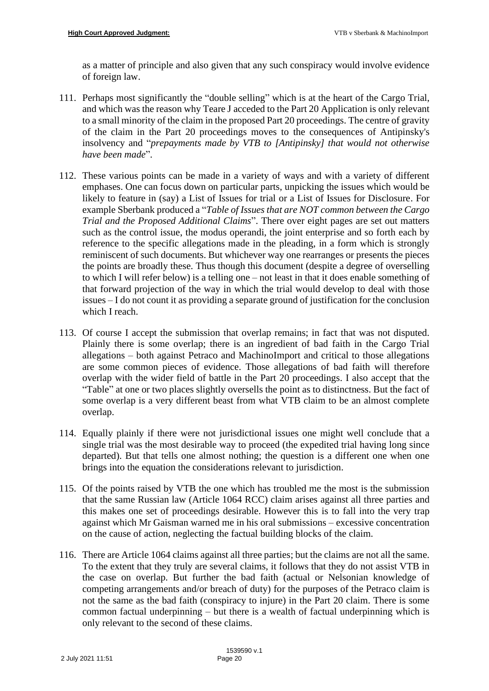as a matter of principle and also given that any such conspiracy would involve evidence of foreign law.

- 111. Perhaps most significantly the "double selling" which is at the heart of the Cargo Trial, and which was the reason why Teare J acceded to the Part 20 Application is only relevant to a small minority of the claim in the proposed Part 20 proceedings. The centre of gravity of the claim in the Part 20 proceedings moves to the consequences of Antipinsky's insolvency and "*prepayments made by VTB to [Antipinsky] that would not otherwise have been made*".
- 112. These various points can be made in a variety of ways and with a variety of different emphases. One can focus down on particular parts, unpicking the issues which would be likely to feature in (say) a List of Issues for trial or a List of Issues for Disclosure. For example Sberbank produced a "*Table of Issues that are NOT common between the Cargo Trial and the Proposed Additional Claims*". There over eight pages are set out matters such as the control issue, the modus operandi, the joint enterprise and so forth each by reference to the specific allegations made in the pleading, in a form which is strongly reminiscent of such documents. But whichever way one rearranges or presents the pieces the points are broadly these. Thus though this document (despite a degree of overselling to which I will refer below) is a telling one – not least in that it does enable something of that forward projection of the way in which the trial would develop to deal with those issues – I do not count it as providing a separate ground of justification for the conclusion which I reach.
- 113. Of course I accept the submission that overlap remains; in fact that was not disputed. Plainly there is some overlap; there is an ingredient of bad faith in the Cargo Trial allegations – both against Petraco and MachinoImport and critical to those allegations are some common pieces of evidence. Those allegations of bad faith will therefore overlap with the wider field of battle in the Part 20 proceedings. I also accept that the "Table" at one or two places slightly oversells the point as to distinctness. But the fact of some overlap is a very different beast from what VTB claim to be an almost complete overlap.
- 114. Equally plainly if there were not jurisdictional issues one might well conclude that a single trial was the most desirable way to proceed (the expedited trial having long since departed). But that tells one almost nothing; the question is a different one when one brings into the equation the considerations relevant to jurisdiction.
- 115. Of the points raised by VTB the one which has troubled me the most is the submission that the same Russian law (Article 1064 RCC) claim arises against all three parties and this makes one set of proceedings desirable. However this is to fall into the very trap against which Mr Gaisman warned me in his oral submissions – excessive concentration on the cause of action, neglecting the factual building blocks of the claim.
- 116. There are Article 1064 claims against all three parties; but the claims are not all the same. To the extent that they truly are several claims, it follows that they do not assist VTB in the case on overlap. But further the bad faith (actual or Nelsonian knowledge of competing arrangements and/or breach of duty) for the purposes of the Petraco claim is not the same as the bad faith (conspiracy to injure) in the Part 20 claim. There is some common factual underpinning – but there is a wealth of factual underpinning which is only relevant to the second of these claims.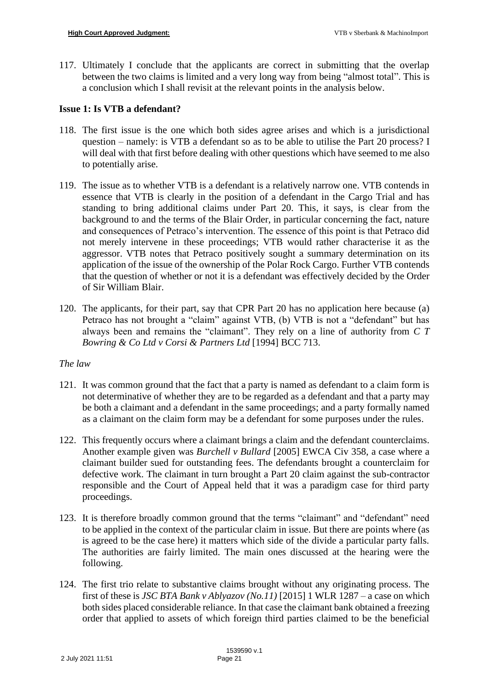117. Ultimately I conclude that the applicants are correct in submitting that the overlap between the two claims is limited and a very long way from being "almost total". This is a conclusion which I shall revisit at the relevant points in the analysis below.

#### **Issue 1: Is VTB a defendant?**

- 118. The first issue is the one which both sides agree arises and which is a jurisdictional question – namely: is VTB a defendant so as to be able to utilise the Part 20 process? I will deal with that first before dealing with other questions which have seemed to me also to potentially arise.
- 119. The issue as to whether VTB is a defendant is a relatively narrow one. VTB contends in essence that VTB is clearly in the position of a defendant in the Cargo Trial and has standing to bring additional claims under Part 20. This, it says, is clear from the background to and the terms of the Blair Order, in particular concerning the fact, nature and consequences of Petraco's intervention. The essence of this point is that Petraco did not merely intervene in these proceedings; VTB would rather characterise it as the aggressor. VTB notes that Petraco positively sought a summary determination on its application of the issue of the ownership of the Polar Rock Cargo. Further VTB contends that the question of whether or not it is a defendant was effectively decided by the Order of Sir William Blair.
- 120. The applicants, for their part, say that CPR Part 20 has no application here because (a) Petraco has not brought a "claim" against VTB, (b) VTB is not a "defendant" but has always been and remains the "claimant". They rely on a line of authority from *C T Bowring & Co Ltd v Corsi & Partners Ltd* [1994] BCC 713.

#### *The law*

- 121. It was common ground that the fact that a party is named as defendant to a claim form is not determinative of whether they are to be regarded as a defendant and that a party may be both a claimant and a defendant in the same proceedings; and a party formally named as a claimant on the claim form may be a defendant for some purposes under the rules.
- 122. This frequently occurs where a claimant brings a claim and the defendant counterclaims. Another example given was *Burchell v Bullard* [2005] EWCA Civ 358, a case where a claimant builder sued for outstanding fees. The defendants brought a counterclaim for defective work. The claimant in turn brought a Part 20 claim against the sub-contractor responsible and the Court of Appeal held that it was a paradigm case for third party proceedings.
- 123. It is therefore broadly common ground that the terms "claimant" and "defendant" need to be applied in the context of the particular claim in issue. But there are points where (as is agreed to be the case here) it matters which side of the divide a particular party falls. The authorities are fairly limited. The main ones discussed at the hearing were the following.
- 124. The first trio relate to substantive claims brought without any originating process. The first of these is *JSC BTA Bank v Ablyazov (No.11)* [2015] 1 WLR 1287 – a case on which both sides placed considerable reliance. In that case the claimant bank obtained a freezing order that applied to assets of which foreign third parties claimed to be the beneficial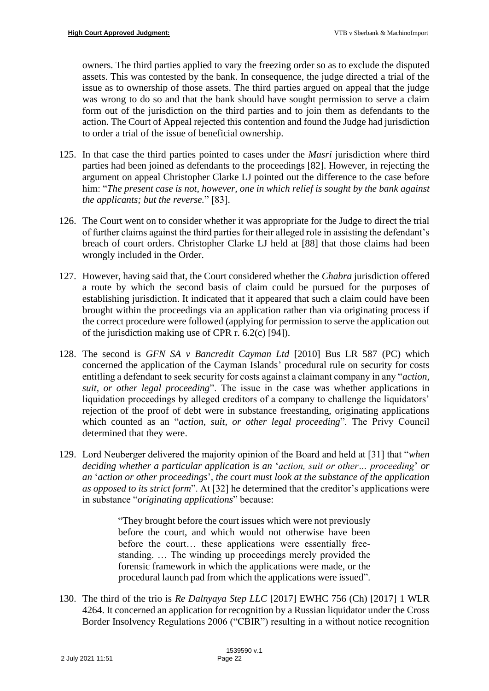owners. The third parties applied to vary the freezing order so as to exclude the disputed assets. This was contested by the bank. In consequence, the judge directed a trial of the issue as to ownership of those assets. The third parties argued on appeal that the judge was wrong to do so and that the bank should have sought permission to serve a claim form out of the jurisdiction on the third parties and to join them as defendants to the action. The Court of Appeal rejected this contention and found the Judge had jurisdiction to order a trial of the issue of beneficial ownership.

- 125. In that case the third parties pointed to cases under the *Masri* jurisdiction where third parties had been joined as defendants to the proceedings [82]. However, in rejecting the argument on appeal Christopher Clarke LJ pointed out the difference to the case before him: "*The present case is not, however, one in which relief is sought by the bank against the applicants; but the reverse.*" [83].
- 126. The Court went on to consider whether it was appropriate for the Judge to direct the trial of further claims against the third parties for their alleged role in assisting the defendant's breach of court orders. Christopher Clarke LJ held at [88] that those claims had been wrongly included in the Order.
- 127. However, having said that, the Court considered whether the *Chabra* jurisdiction offered a route by which the second basis of claim could be pursued for the purposes of establishing jurisdiction. It indicated that it appeared that such a claim could have been brought within the proceedings via an application rather than via originating process if the correct procedure were followed (applying for permission to serve the application out of the jurisdiction making use of CPR r. 6.2(c) [94]).
- 128. The second is *GFN SA v Bancredit Cayman Ltd* [2010] Bus LR 587 (PC) which concerned the application of the Cayman Islands' procedural rule on security for costs entitling a defendant to seek security for costs against a claimant company in any "*action, suit, or other legal proceeding*". The issue in the case was whether applications in liquidation proceedings by alleged creditors of a company to challenge the liquidators' rejection of the proof of debt were in substance freestanding, originating applications which counted as an "*action, suit, or other legal proceeding*". The Privy Council determined that they were.
- 129. Lord Neuberger delivered the majority opinion of the Board and held at [31] that "*when deciding whether a particular application is an* '*action, suit or other… proceeding*' *or an* '*action or other proceedings*'*, the court must look at the substance of the application as opposed to its strict form*". At [32] he determined that the creditor's applications were in substance "*originating applications*" because:

"They brought before the court issues which were not previously before the court, and which would not otherwise have been before the court… these applications were essentially freestanding. … The winding up proceedings merely provided the forensic framework in which the applications were made, or the procedural launch pad from which the applications were issued".

130. The third of the trio is *Re Dalnyaya Step LLC* [2017] EWHC 756 (Ch) [2017] 1 WLR 4264. It concerned an application for recognition by a Russian liquidator under the Cross Border Insolvency Regulations 2006 ("CBIR") resulting in a without notice recognition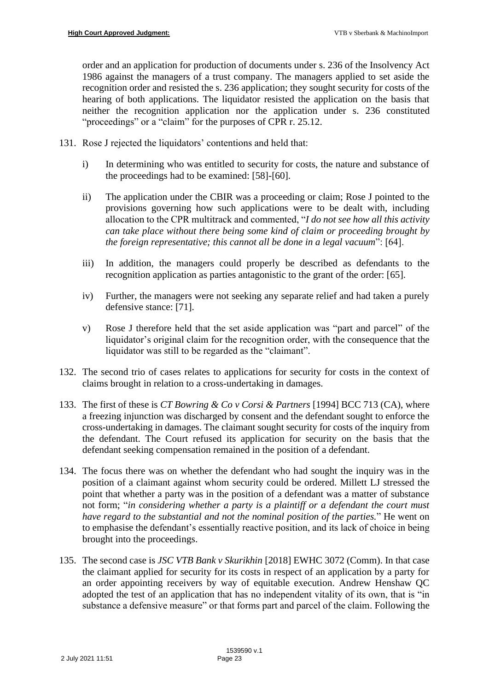order and an application for production of documents under s. 236 of the Insolvency Act 1986 against the managers of a trust company. The managers applied to set aside the recognition order and resisted the s. 236 application; they sought security for costs of the hearing of both applications. The liquidator resisted the application on the basis that neither the recognition application nor the application under s. 236 constituted "proceedings" or a "claim" for the purposes of CPR r. 25.12.

- 131. Rose J rejected the liquidators' contentions and held that:
	- i) In determining who was entitled to security for costs, the nature and substance of the proceedings had to be examined: [58]-[60].
	- ii) The application under the CBIR was a proceeding or claim; Rose J pointed to the provisions governing how such applications were to be dealt with, including allocation to the CPR multitrack and commented, "*I do not see how all this activity can take place without there being some kind of claim or proceeding brought by the foreign representative; this cannot all be done in a legal vacuum*": [64].
	- iii) In addition, the managers could properly be described as defendants to the recognition application as parties antagonistic to the grant of the order: [65].
	- iv) Further, the managers were not seeking any separate relief and had taken a purely defensive stance: [71].
	- v) Rose J therefore held that the set aside application was "part and parcel" of the liquidator's original claim for the recognition order, with the consequence that the liquidator was still to be regarded as the "claimant".
- 132. The second trio of cases relates to applications for security for costs in the context of claims brought in relation to a cross-undertaking in damages.
- 133. The first of these is *CT Bowring & Co v Corsi & Partners* [1994] BCC 713 (CA), where a freezing injunction was discharged by consent and the defendant sought to enforce the cross-undertaking in damages. The claimant sought security for costs of the inquiry from the defendant. The Court refused its application for security on the basis that the defendant seeking compensation remained in the position of a defendant.
- 134. The focus there was on whether the defendant who had sought the inquiry was in the position of a claimant against whom security could be ordered. Millett LJ stressed the point that whether a party was in the position of a defendant was a matter of substance not form; "*in considering whether a party is a plaintiff or a defendant the court must have regard to the substantial and not the nominal position of the parties.*" He went on to emphasise the defendant's essentially reactive position, and its lack of choice in being brought into the proceedings.
- 135. The second case is *JSC VTB Bank v Skurikhin* [2018] EWHC 3072 (Comm). In that case the claimant applied for security for its costs in respect of an application by a party for an order appointing receivers by way of equitable execution. Andrew Henshaw QC adopted the test of an application that has no independent vitality of its own, that is "in substance a defensive measure" or that forms part and parcel of the claim. Following the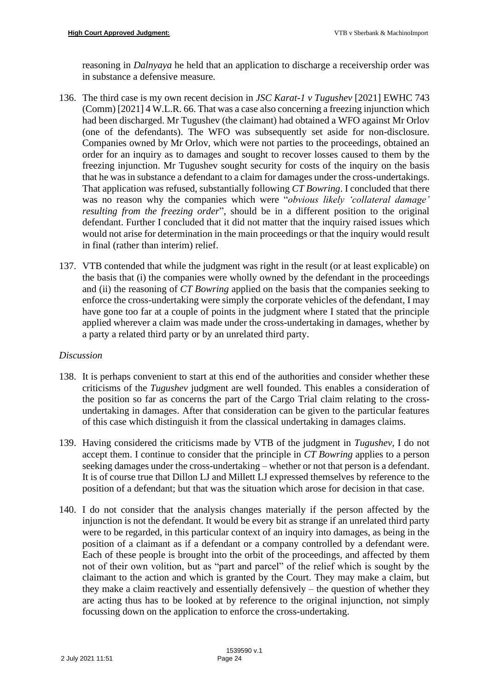reasoning in *Dalnyaya* he held that an application to discharge a receivership order was in substance a defensive measure.

- 136. The third case is my own recent decision in *JSC Karat-1 v Tugushev* [2021] EWHC 743 (Comm) [2021] 4 W.L.R. 66. That was a case also concerning a freezing injunction which had been discharged. Mr Tugushev (the claimant) had obtained a WFO against Mr Orlov (one of the defendants). The WFO was subsequently set aside for non-disclosure. Companies owned by Mr Orlov, which were not parties to the proceedings, obtained an order for an inquiry as to damages and sought to recover losses caused to them by the freezing injunction. Mr Tugushev sought security for costs of the inquiry on the basis that he was in substance a defendant to a claim for damages under the cross-undertakings. That application was refused, substantially following *CT Bowring*. I concluded that there was no reason why the companies which were "*obvious likely 'collateral damage' resulting from the freezing order*", should be in a different position to the original defendant. Further I concluded that it did not matter that the inquiry raised issues which would not arise for determination in the main proceedings or that the inquiry would result in final (rather than interim) relief.
- 137. VTB contended that while the judgment was right in the result (or at least explicable) on the basis that (i) the companies were wholly owned by the defendant in the proceedings and (ii) the reasoning of *CT Bowring* applied on the basis that the companies seeking to enforce the cross-undertaking were simply the corporate vehicles of the defendant, I may have gone too far at a couple of points in the judgment where I stated that the principle applied wherever a claim was made under the cross-undertaking in damages, whether by a party a related third party or by an unrelated third party.

# *Discussion*

- 138. It is perhaps convenient to start at this end of the authorities and consider whether these criticisms of the *Tugushev* judgment are well founded. This enables a consideration of the position so far as concerns the part of the Cargo Trial claim relating to the crossundertaking in damages. After that consideration can be given to the particular features of this case which distinguish it from the classical undertaking in damages claims.
- 139. Having considered the criticisms made by VTB of the judgment in *Tugushev*, I do not accept them. I continue to consider that the principle in *CT Bowring* applies to a person seeking damages under the cross-undertaking – whether or not that person is a defendant. It is of course true that Dillon LJ and Millett LJ expressed themselves by reference to the position of a defendant; but that was the situation which arose for decision in that case.
- 140. I do not consider that the analysis changes materially if the person affected by the injunction is not the defendant. It would be every bit as strange if an unrelated third party were to be regarded, in this particular context of an inquiry into damages, as being in the position of a claimant as if a defendant or a company controlled by a defendant were. Each of these people is brought into the orbit of the proceedings, and affected by them not of their own volition, but as "part and parcel" of the relief which is sought by the claimant to the action and which is granted by the Court. They may make a claim, but they make a claim reactively and essentially defensively – the question of whether they are acting thus has to be looked at by reference to the original injunction, not simply focussing down on the application to enforce the cross-undertaking.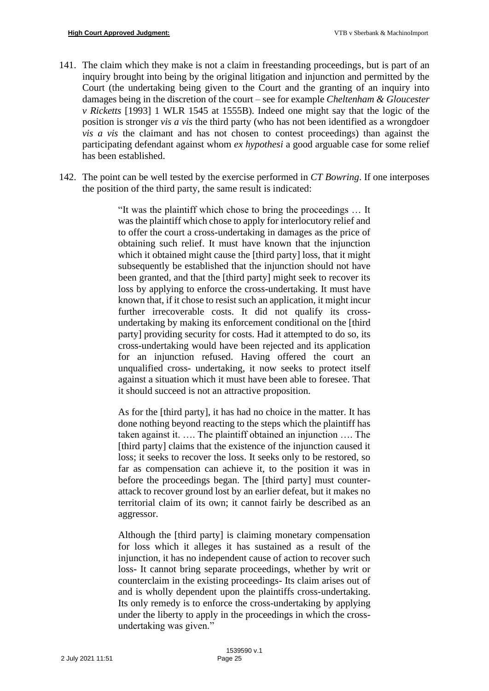- 141. The claim which they make is not a claim in freestanding proceedings, but is part of an inquiry brought into being by the original litigation and injunction and permitted by the Court (the undertaking being given to the Court and the granting of an inquiry into damages being in the discretion of the court – see for example *Cheltenham & Gloucester v Ricketts* [1993] 1 WLR 1545 at 1555B). Indeed one might say that the logic of the position is stronger *vis a vis* the third party (who has not been identified as a wrongdoer *vis a vis* the claimant and has not chosen to contest proceedings) than against the participating defendant against whom *ex hypothesi* a good arguable case for some relief has been established.
- 142. The point can be well tested by the exercise performed in *CT Bowring*. If one interposes the position of the third party, the same result is indicated:

"It was the plaintiff which chose to bring the proceedings … It was the plaintiff which chose to apply for interlocutory relief and to offer the court a cross-undertaking in damages as the price of obtaining such relief. It must have known that the injunction which it obtained might cause the [third party] loss, that it might subsequently be established that the injunction should not have been granted, and that the [third party] might seek to recover its loss by applying to enforce the cross-undertaking. It must have known that, if it chose to resist such an application, it might incur further irrecoverable costs. It did not qualify its crossundertaking by making its enforcement conditional on the [third party] providing security for costs. Had it attempted to do so, its cross-undertaking would have been rejected and its application for an injunction refused. Having offered the court an unqualified cross- undertaking, it now seeks to protect itself against a situation which it must have been able to foresee. That it should succeed is not an attractive proposition.

As for the [third party], it has had no choice in the matter. It has done nothing beyond reacting to the steps which the plaintiff has taken against it. …. The plaintiff obtained an injunction …. The [third party] claims that the existence of the injunction caused it loss; it seeks to recover the loss. It seeks only to be restored, so far as compensation can achieve it, to the position it was in before the proceedings began. The [third party] must counterattack to recover ground lost by an earlier defeat, but it makes no territorial claim of its own; it cannot fairly be described as an aggressor.

Although the [third party] is claiming monetary compensation for loss which it alleges it has sustained as a result of the injunction, it has no independent cause of action to recover such loss- It cannot bring separate proceedings, whether by writ or counterclaim in the existing proceedings- Its claim arises out of and is wholly dependent upon the plaintiffs cross-undertaking. Its only remedy is to enforce the cross-undertaking by applying under the liberty to apply in the proceedings in which the crossundertaking was given."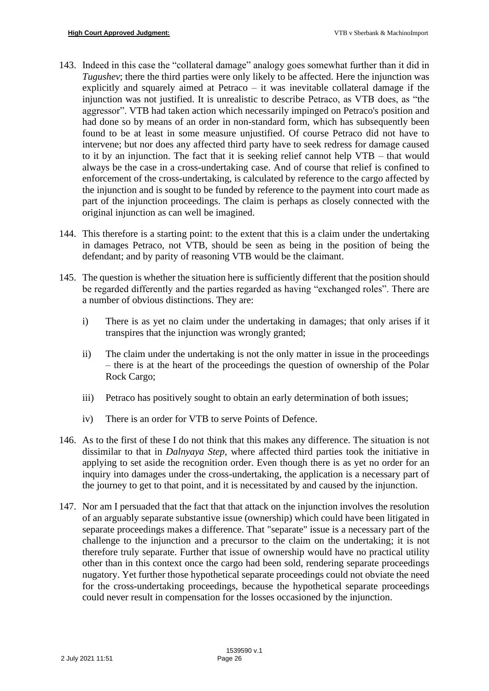- 143. Indeed in this case the "collateral damage" analogy goes somewhat further than it did in *Tugushev*; there the third parties were only likely to be affected. Here the injunction was explicitly and squarely aimed at Petraco – it was inevitable collateral damage if the injunction was not justified. It is unrealistic to describe Petraco, as VTB does, as "the aggressor". VTB had taken action which necessarily impinged on Petraco's position and had done so by means of an order in non-standard form, which has subsequently been found to be at least in some measure unjustified. Of course Petraco did not have to intervene; but nor does any affected third party have to seek redress for damage caused to it by an injunction. The fact that it is seeking relief cannot help VTB – that would always be the case in a cross-undertaking case. And of course that relief is confined to enforcement of the cross-undertaking, is calculated by reference to the cargo affected by the injunction and is sought to be funded by reference to the payment into court made as part of the injunction proceedings. The claim is perhaps as closely connected with the original injunction as can well be imagined.
- 144. This therefore is a starting point: to the extent that this is a claim under the undertaking in damages Petraco, not VTB, should be seen as being in the position of being the defendant; and by parity of reasoning VTB would be the claimant.
- 145. The question is whether the situation here is sufficiently different that the position should be regarded differently and the parties regarded as having "exchanged roles". There are a number of obvious distinctions. They are:
	- i) There is as yet no claim under the undertaking in damages; that only arises if it transpires that the injunction was wrongly granted;
	- ii) The claim under the undertaking is not the only matter in issue in the proceedings – there is at the heart of the proceedings the question of ownership of the Polar Rock Cargo;
	- iii) Petraco has positively sought to obtain an early determination of both issues;
	- iv) There is an order for VTB to serve Points of Defence.
- 146. As to the first of these I do not think that this makes any difference. The situation is not dissimilar to that in *Dalnyaya Step*, where affected third parties took the initiative in applying to set aside the recognition order. Even though there is as yet no order for an inquiry into damages under the cross-undertaking, the application is a necessary part of the journey to get to that point, and it is necessitated by and caused by the injunction.
- 147. Nor am I persuaded that the fact that that attack on the injunction involves the resolution of an arguably separate substantive issue (ownership) which could have been litigated in separate proceedings makes a difference. That "separate" issue is a necessary part of the challenge to the injunction and a precursor to the claim on the undertaking; it is not therefore truly separate. Further that issue of ownership would have no practical utility other than in this context once the cargo had been sold, rendering separate proceedings nugatory. Yet further those hypothetical separate proceedings could not obviate the need for the cross-undertaking proceedings, because the hypothetical separate proceedings could never result in compensation for the losses occasioned by the injunction.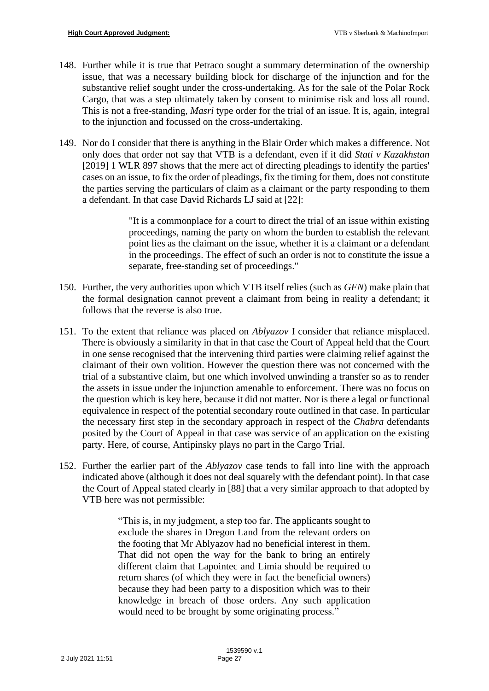- 148. Further while it is true that Petraco sought a summary determination of the ownership issue, that was a necessary building block for discharge of the injunction and for the substantive relief sought under the cross-undertaking. As for the sale of the Polar Rock Cargo, that was a step ultimately taken by consent to minimise risk and loss all round. This is not a free-standing, *Masri* type order for the trial of an issue. It is, again, integral to the injunction and focussed on the cross-undertaking.
- 149. Nor do I consider that there is anything in the Blair Order which makes a difference. Not only does that order not say that VTB is a defendant, even if it did *Stati v Kazakhstan* [2019] 1 WLR 897 shows that the mere act of directing pleadings to identify the parties' cases on an issue, to fix the order of pleadings, fix the timing for them, does not constitute the parties serving the particulars of claim as a claimant or the party responding to them a defendant. In that case David Richards LJ said at [22]:

"It is a commonplace for a court to direct the trial of an issue within existing proceedings, naming the party on whom the burden to establish the relevant point lies as the claimant on the issue, whether it is a claimant or a defendant in the proceedings. The effect of such an order is not to constitute the issue a separate, free-standing set of proceedings."

- 150. Further, the very authorities upon which VTB itself relies (such as *GFN*) make plain that the formal designation cannot prevent a claimant from being in reality a defendant; it follows that the reverse is also true.
- 151. To the extent that reliance was placed on *Ablyazov* I consider that reliance misplaced. There is obviously a similarity in that in that case the Court of Appeal held that the Court in one sense recognised that the intervening third parties were claiming relief against the claimant of their own volition. However the question there was not concerned with the trial of a substantive claim, but one which involved unwinding a transfer so as to render the assets in issue under the injunction amenable to enforcement. There was no focus on the question which is key here, because it did not matter. Nor is there a legal or functional equivalence in respect of the potential secondary route outlined in that case. In particular the necessary first step in the secondary approach in respect of the *Chabra* defendants posited by the Court of Appeal in that case was service of an application on the existing party. Here, of course, Antipinsky plays no part in the Cargo Trial.
- 152. Further the earlier part of the *Ablyazov* case tends to fall into line with the approach indicated above (although it does not deal squarely with the defendant point). In that case the Court of Appeal stated clearly in [88] that a very similar approach to that adopted by VTB here was not permissible:

"This is, in my judgment, a step too far. The applicants sought to exclude the shares in Dregon Land from the relevant orders on the footing that Mr Ablyazov had no beneficial interest in them. That did not open the way for the bank to bring an entirely different claim that Lapointec and Limia should be required to return shares (of which they were in fact the beneficial owners) because they had been party to a disposition which was to their knowledge in breach of those orders. Any such application would need to be brought by some originating process."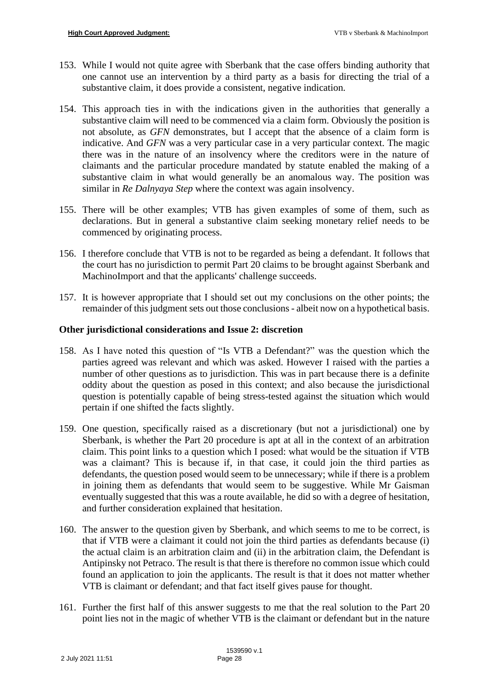- 153. While I would not quite agree with Sberbank that the case offers binding authority that one cannot use an intervention by a third party as a basis for directing the trial of a substantive claim, it does provide a consistent, negative indication.
- 154. This approach ties in with the indications given in the authorities that generally a substantive claim will need to be commenced via a claim form. Obviously the position is not absolute, as *GFN* demonstrates, but I accept that the absence of a claim form is indicative. And *GFN* was a very particular case in a very particular context. The magic there was in the nature of an insolvency where the creditors were in the nature of claimants and the particular procedure mandated by statute enabled the making of a substantive claim in what would generally be an anomalous way. The position was similar in *Re Dalnyaya Step* where the context was again insolvency.
- 155. There will be other examples; VTB has given examples of some of them, such as declarations. But in general a substantive claim seeking monetary relief needs to be commenced by originating process.
- 156. I therefore conclude that VTB is not to be regarded as being a defendant. It follows that the court has no jurisdiction to permit Part 20 claims to be brought against Sberbank and MachinoImport and that the applicants' challenge succeeds.
- 157. It is however appropriate that I should set out my conclusions on the other points; the remainder of this judgment sets out those conclusions - albeit now on a hypothetical basis.

## **Other jurisdictional considerations and Issue 2: discretion**

- 158. As I have noted this question of "Is VTB a Defendant?" was the question which the parties agreed was relevant and which was asked. However I raised with the parties a number of other questions as to jurisdiction. This was in part because there is a definite oddity about the question as posed in this context; and also because the jurisdictional question is potentially capable of being stress-tested against the situation which would pertain if one shifted the facts slightly.
- 159. One question, specifically raised as a discretionary (but not a jurisdictional) one by Sberbank, is whether the Part 20 procedure is apt at all in the context of an arbitration claim. This point links to a question which I posed: what would be the situation if VTB was a claimant? This is because if, in that case, it could join the third parties as defendants, the question posed would seem to be unnecessary; while if there is a problem in joining them as defendants that would seem to be suggestive. While Mr Gaisman eventually suggested that this was a route available, he did so with a degree of hesitation, and further consideration explained that hesitation.
- 160. The answer to the question given by Sberbank, and which seems to me to be correct, is that if VTB were a claimant it could not join the third parties as defendants because (i) the actual claim is an arbitration claim and (ii) in the arbitration claim, the Defendant is Antipinsky not Petraco. The result is that there is therefore no common issue which could found an application to join the applicants. The result is that it does not matter whether VTB is claimant or defendant; and that fact itself gives pause for thought.
- 161. Further the first half of this answer suggests to me that the real solution to the Part 20 point lies not in the magic of whether VTB is the claimant or defendant but in the nature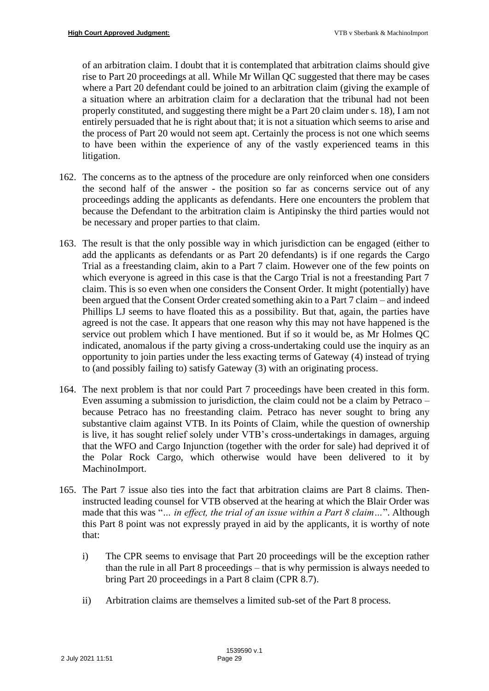of an arbitration claim. I doubt that it is contemplated that arbitration claims should give rise to Part 20 proceedings at all. While Mr Willan QC suggested that there may be cases where a Part 20 defendant could be joined to an arbitration claim (giving the example of a situation where an arbitration claim for a declaration that the tribunal had not been properly constituted, and suggesting there might be a Part 20 claim under s. 18), I am not entirely persuaded that he is right about that; it is not a situation which seems to arise and the process of Part 20 would not seem apt. Certainly the process is not one which seems to have been within the experience of any of the vastly experienced teams in this litigation.

- 162. The concerns as to the aptness of the procedure are only reinforced when one considers the second half of the answer - the position so far as concerns service out of any proceedings adding the applicants as defendants. Here one encounters the problem that because the Defendant to the arbitration claim is Antipinsky the third parties would not be necessary and proper parties to that claim.
- 163. The result is that the only possible way in which jurisdiction can be engaged (either to add the applicants as defendants or as Part 20 defendants) is if one regards the Cargo Trial as a freestanding claim, akin to a Part 7 claim. However one of the few points on which everyone is agreed in this case is that the Cargo Trial is not a freestanding Part 7 claim. This is so even when one considers the Consent Order. It might (potentially) have been argued that the Consent Order created something akin to a Part 7 claim – and indeed Phillips LJ seems to have floated this as a possibility. But that, again, the parties have agreed is not the case. It appears that one reason why this may not have happened is the service out problem which I have mentioned. But if so it would be, as Mr Holmes QC indicated, anomalous if the party giving a cross-undertaking could use the inquiry as an opportunity to join parties under the less exacting terms of Gateway (4) instead of trying to (and possibly failing to) satisfy Gateway (3) with an originating process.
- 164. The next problem is that nor could Part 7 proceedings have been created in this form. Even assuming a submission to jurisdiction, the claim could not be a claim by Petraco – because Petraco has no freestanding claim. Petraco has never sought to bring any substantive claim against VTB. In its Points of Claim, while the question of ownership is live, it has sought relief solely under VTB's cross-undertakings in damages, arguing that the WFO and Cargo Injunction (together with the order for sale) had deprived it of the Polar Rock Cargo, which otherwise would have been delivered to it by MachinoImport.
- 165. The Part 7 issue also ties into the fact that arbitration claims are Part 8 claims. Theninstructed leading counsel for VTB observed at the hearing at which the Blair Order was made that this was "*… in effect, the trial of an issue within a Part 8 claim…*". Although this Part 8 point was not expressly prayed in aid by the applicants, it is worthy of note that:
	- i) The CPR seems to envisage that Part 20 proceedings will be the exception rather than the rule in all Part 8 proceedings – that is why permission is always needed to bring Part 20 proceedings in a Part 8 claim (CPR 8.7).
	- ii) Arbitration claims are themselves a limited sub-set of the Part 8 process.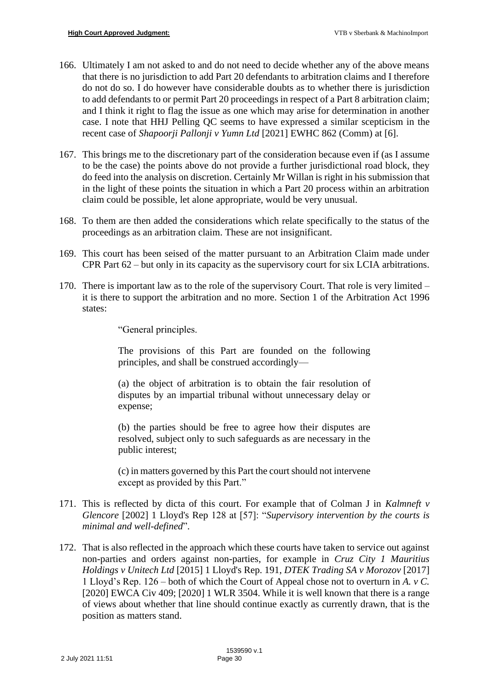- 166. Ultimately I am not asked to and do not need to decide whether any of the above means that there is no jurisdiction to add Part 20 defendants to arbitration claims and I therefore do not do so. I do however have considerable doubts as to whether there is jurisdiction to add defendants to or permit Part 20 proceedings in respect of a Part 8 arbitration claim; and I think it right to flag the issue as one which may arise for determination in another case. I note that HHJ Pelling QC seems to have expressed a similar scepticism in the recent case of *Shapoorji Pallonji v Yumn Ltd* [2021] EWHC 862 (Comm) at [6].
- 167. This brings me to the discretionary part of the consideration because even if (as I assume to be the case) the points above do not provide a further jurisdictional road block, they do feed into the analysis on discretion. Certainly Mr Willan is right in his submission that in the light of these points the situation in which a Part 20 process within an arbitration claim could be possible, let alone appropriate, would be very unusual.
- 168. To them are then added the considerations which relate specifically to the status of the proceedings as an arbitration claim. These are not insignificant.
- 169. This court has been seised of the matter pursuant to an Arbitration Claim made under CPR Part 62 – but only in its capacity as the supervisory court for six LCIA arbitrations.
- 170. There is important law as to the role of the supervisory Court. That role is very limited it is there to support the arbitration and no more. Section 1 of the Arbitration Act 1996 states:

"General principles.

The provisions of this Part are founded on the following principles, and shall be construed accordingly—

(a) the object of arbitration is to obtain the fair resolution of disputes by an impartial tribunal without unnecessary delay or expense;

(b) the parties should be free to agree how their disputes are resolved, subject only to such safeguards as are necessary in the public interest;

(c) in matters governed by this Part the court should not intervene except as provided by this Part."

- 171. This is reflected by dicta of this court. For example that of Colman J in *Kalmneft v Glencore* [2002] 1 Lloyd's Rep 128 at [57]: "*Supervisory intervention by the courts is minimal and well-defined*".
- 172. That is also reflected in the approach which these courts have taken to service out against non-parties and orders against non-parties, for example in *Cruz City 1 Mauritius Holdings v Unitech Ltd* [2015] 1 Lloyd's Rep. 191, *DTEK Trading SA v Morozov* [2017] 1 Lloyd's Rep. 126 – both of which the Court of Appeal chose not to overturn in *A. v C.* [2020] EWCA Civ 409; [2020] 1 WLR 3504. While it is well known that there is a range of views about whether that line should continue exactly as currently drawn, that is the position as matters stand.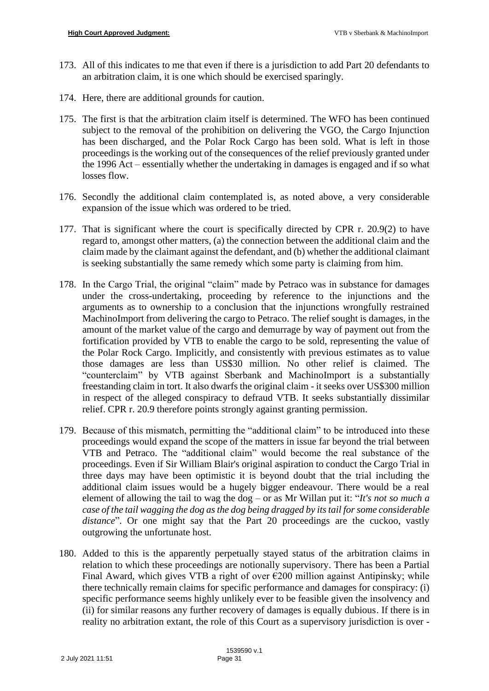- 173. All of this indicates to me that even if there is a jurisdiction to add Part 20 defendants to an arbitration claim, it is one which should be exercised sparingly.
- 174. Here, there are additional grounds for caution.
- 175. The first is that the arbitration claim itself is determined. The WFO has been continued subject to the removal of the prohibition on delivering the VGO, the Cargo Injunction has been discharged, and the Polar Rock Cargo has been sold. What is left in those proceedings is the working out of the consequences of the relief previously granted under the 1996 Act – essentially whether the undertaking in damages is engaged and if so what losses flow.
- 176. Secondly the additional claim contemplated is, as noted above, a very considerable expansion of the issue which was ordered to be tried.
- 177. That is significant where the court is specifically directed by CPR r. 20.9(2) to have regard to, amongst other matters, (a) the connection between the additional claim and the claim made by the claimant against the defendant, and (b) whether the additional claimant is seeking substantially the same remedy which some party is claiming from him.
- 178. In the Cargo Trial, the original "claim" made by Petraco was in substance for damages under the cross-undertaking, proceeding by reference to the injunctions and the arguments as to ownership to a conclusion that the injunctions wrongfully restrained MachinoImport from delivering the cargo to Petraco. The relief sought is damages, in the amount of the market value of the cargo and demurrage by way of payment out from the fortification provided by VTB to enable the cargo to be sold, representing the value of the Polar Rock Cargo. Implicitly, and consistently with previous estimates as to value those damages are less than US\$30 million. No other relief is claimed. The "counterclaim" by VTB against Sberbank and MachinoImport is a substantially freestanding claim in tort. It also dwarfs the original claim - it seeks over US\$300 million in respect of the alleged conspiracy to defraud VTB. It seeks substantially dissimilar relief. CPR r. 20.9 therefore points strongly against granting permission.
- 179. Because of this mismatch, permitting the "additional claim" to be introduced into these proceedings would expand the scope of the matters in issue far beyond the trial between VTB and Petraco. The "additional claim" would become the real substance of the proceedings. Even if Sir William Blair's original aspiration to conduct the Cargo Trial in three days may have been optimistic it is beyond doubt that the trial including the additional claim issues would be a hugely bigger endeavour. There would be a real element of allowing the tail to wag the dog – or as Mr Willan put it: "*It's not so much a case of the tail wagging the dog as the dog being dragged by its tail for some considerable distance*". Or one might say that the Part 20 proceedings are the cuckoo, vastly outgrowing the unfortunate host.
- 180. Added to this is the apparently perpetually stayed status of the arbitration claims in relation to which these proceedings are notionally supervisory. There has been a Partial Final Award, which gives VTB a right of over  $\epsilon$ 200 million against Antipinsky; while there technically remain claims for specific performance and damages for conspiracy: (i) specific performance seems highly unlikely ever to be feasible given the insolvency and (ii) for similar reasons any further recovery of damages is equally dubious. If there is in reality no arbitration extant, the role of this Court as a supervisory jurisdiction is over -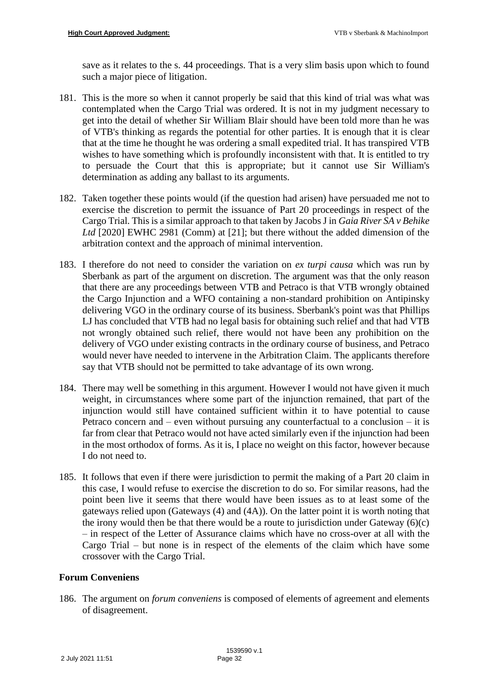save as it relates to the s. 44 proceedings. That is a very slim basis upon which to found such a major piece of litigation.

- 181. This is the more so when it cannot properly be said that this kind of trial was what was contemplated when the Cargo Trial was ordered. It is not in my judgment necessary to get into the detail of whether Sir William Blair should have been told more than he was of VTB's thinking as regards the potential for other parties. It is enough that it is clear that at the time he thought he was ordering a small expedited trial. It has transpired VTB wishes to have something which is profoundly inconsistent with that. It is entitled to try to persuade the Court that this is appropriate; but it cannot use Sir William's determination as adding any ballast to its arguments.
- 182. Taken together these points would (if the question had arisen) have persuaded me not to exercise the discretion to permit the issuance of Part 20 proceedings in respect of the Cargo Trial. This is a similar approach to that taken by Jacobs J in *Gaia River SA v Behike*  Ltd<sup>[2020]</sup> EWHC 2981 (Comm) at [21]; but there without the added dimension of the arbitration context and the approach of minimal intervention.
- 183. I therefore do not need to consider the variation on *ex turpi causa* which was run by Sberbank as part of the argument on discretion. The argument was that the only reason that there are any proceedings between VTB and Petraco is that VTB wrongly obtained the Cargo Injunction and a WFO containing a non-standard prohibition on Antipinsky delivering VGO in the ordinary course of its business. Sberbank's point was that Phillips LJ has concluded that VTB had no legal basis for obtaining such relief and that had VTB not wrongly obtained such relief, there would not have been any prohibition on the delivery of VGO under existing contracts in the ordinary course of business, and Petraco would never have needed to intervene in the Arbitration Claim. The applicants therefore say that VTB should not be permitted to take advantage of its own wrong.
- 184. There may well be something in this argument. However I would not have given it much weight, in circumstances where some part of the injunction remained, that part of the injunction would still have contained sufficient within it to have potential to cause Petraco concern and – even without pursuing any counterfactual to a conclusion – it is far from clear that Petraco would not have acted similarly even if the injunction had been in the most orthodox of forms. As it is, I place no weight on this factor, however because I do not need to.
- 185. It follows that even if there were jurisdiction to permit the making of a Part 20 claim in this case, I would refuse to exercise the discretion to do so. For similar reasons, had the point been live it seems that there would have been issues as to at least some of the gateways relied upon (Gateways (4) and (4A)). On the latter point it is worth noting that the irony would then be that there would be a route to jurisdiction under Gateway  $(6)(c)$ – in respect of the Letter of Assurance claims which have no cross-over at all with the Cargo Trial – but none is in respect of the elements of the claim which have some crossover with the Cargo Trial.

# **Forum Conveniens**

186. The argument on *forum conveniens* is composed of elements of agreement and elements of disagreement.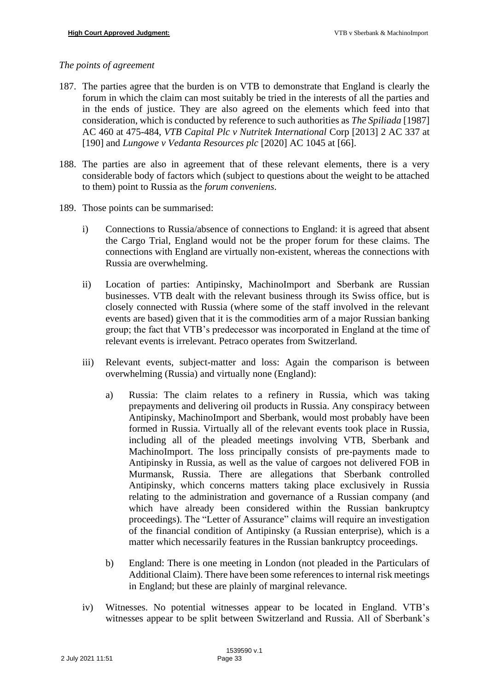### *The points of agreement*

- 187. The parties agree that the burden is on VTB to demonstrate that England is clearly the forum in which the claim can most suitably be tried in the interests of all the parties and in the ends of justice. They are also agreed on the elements which feed into that consideration, which is conducted by reference to such authorities as *The Spiliada* [1987] AC 460 at 475-484, *VTB Capital Plc v Nutritek International* Corp [2013] 2 AC 337 at [190] and *Lungowe v Vedanta Resources plc* [2020] AC 1045 at [66].
- 188. The parties are also in agreement that of these relevant elements, there is a very considerable body of factors which (subject to questions about the weight to be attached to them) point to Russia as the *forum conveniens*.
- 189. Those points can be summarised:
	- i) Connections to Russia/absence of connections to England: it is agreed that absent the Cargo Trial, England would not be the proper forum for these claims. The connections with England are virtually non-existent, whereas the connections with Russia are overwhelming.
	- ii) Location of parties: Antipinsky, MachinoImport and Sberbank are Russian businesses. VTB dealt with the relevant business through its Swiss office, but is closely connected with Russia (where some of the staff involved in the relevant events are based) given that it is the commodities arm of a major Russian banking group; the fact that VTB's predecessor was incorporated in England at the time of relevant events is irrelevant. Petraco operates from Switzerland.
	- iii) Relevant events, subject-matter and loss: Again the comparison is between overwhelming (Russia) and virtually none (England):
		- a) Russia: The claim relates to a refinery in Russia, which was taking prepayments and delivering oil products in Russia. Any conspiracy between Antipinsky, MachinoImport and Sberbank, would most probably have been formed in Russia. Virtually all of the relevant events took place in Russia, including all of the pleaded meetings involving VTB, Sberbank and MachinoImport. The loss principally consists of pre-payments made to Antipinsky in Russia, as well as the value of cargoes not delivered FOB in Murmansk, Russia. There are allegations that Sberbank controlled Antipinsky, which concerns matters taking place exclusively in Russia relating to the administration and governance of a Russian company (and which have already been considered within the Russian bankruptcy proceedings). The "Letter of Assurance" claims will require an investigation of the financial condition of Antipinsky (a Russian enterprise), which is a matter which necessarily features in the Russian bankruptcy proceedings.
		- b) England: There is one meeting in London (not pleaded in the Particulars of Additional Claim). There have been some references to internal risk meetings in England; but these are plainly of marginal relevance.
	- iv) Witnesses. No potential witnesses appear to be located in England. VTB's witnesses appear to be split between Switzerland and Russia. All of Sberbank's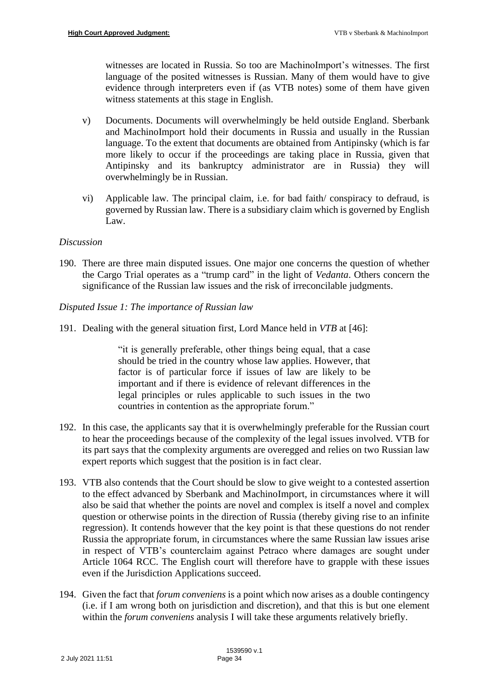witnesses are located in Russia. So too are MachinoImport's witnesses. The first language of the posited witnesses is Russian. Many of them would have to give evidence through interpreters even if (as VTB notes) some of them have given witness statements at this stage in English.

- v) Documents. Documents will overwhelmingly be held outside England. Sberbank and MachinoImport hold their documents in Russia and usually in the Russian language. To the extent that documents are obtained from Antipinsky (which is far more likely to occur if the proceedings are taking place in Russia, given that Antipinsky and its bankruptcy administrator are in Russia) they will overwhelmingly be in Russian.
- vi) Applicable law. The principal claim, i.e. for bad faith/ conspiracy to defraud, is governed by Russian law. There is a subsidiary claim which is governed by English Law.

## *Discussion*

190. There are three main disputed issues. One major one concerns the question of whether the Cargo Trial operates as a "trump card" in the light of *Vedanta*. Others concern the significance of the Russian law issues and the risk of irreconcilable judgments.

## *Disputed Issue 1: The importance of Russian law*

191. Dealing with the general situation first, Lord Mance held in *VTB* at [46]:

"it is generally preferable, other things being equal, that a case should be tried in the country whose law applies. However, that factor is of particular force if issues of law are likely to be important and if there is evidence of relevant differences in the legal principles or rules applicable to such issues in the two countries in contention as the appropriate forum."

- 192. In this case, the applicants say that it is overwhelmingly preferable for the Russian court to hear the proceedings because of the complexity of the legal issues involved. VTB for its part says that the complexity arguments are overegged and relies on two Russian law expert reports which suggest that the position is in fact clear.
- 193. VTB also contends that the Court should be slow to give weight to a contested assertion to the effect advanced by Sberbank and MachinoImport, in circumstances where it will also be said that whether the points are novel and complex is itself a novel and complex question or otherwise points in the direction of Russia (thereby giving rise to an infinite regression). It contends however that the key point is that these questions do not render Russia the appropriate forum, in circumstances where the same Russian law issues arise in respect of VTB's counterclaim against Petraco where damages are sought under Article 1064 RCC. The English court will therefore have to grapple with these issues even if the Jurisdiction Applications succeed.
- 194. Given the fact that *forum conveniens* is a point which now arises as a double contingency (i.e. if I am wrong both on jurisdiction and discretion), and that this is but one element within the *forum conveniens* analysis I will take these arguments relatively briefly.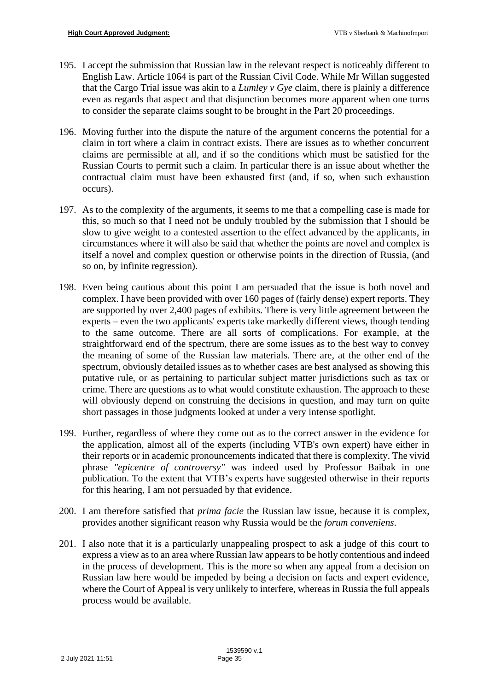- 195. I accept the submission that Russian law in the relevant respect is noticeably different to English Law. Article 1064 is part of the Russian Civil Code. While Mr Willan suggested that the Cargo Trial issue was akin to a *Lumley v Gye* claim, there is plainly a difference even as regards that aspect and that disjunction becomes more apparent when one turns to consider the separate claims sought to be brought in the Part 20 proceedings.
- 196. Moving further into the dispute the nature of the argument concerns the potential for a claim in tort where a claim in contract exists. There are issues as to whether concurrent claims are permissible at all, and if so the conditions which must be satisfied for the Russian Courts to permit such a claim. In particular there is an issue about whether the contractual claim must have been exhausted first (and, if so, when such exhaustion occurs).
- 197. As to the complexity of the arguments, it seems to me that a compelling case is made for this, so much so that I need not be unduly troubled by the submission that I should be slow to give weight to a contested assertion to the effect advanced by the applicants, in circumstances where it will also be said that whether the points are novel and complex is itself a novel and complex question or otherwise points in the direction of Russia, (and so on, by infinite regression).
- 198. Even being cautious about this point I am persuaded that the issue is both novel and complex. I have been provided with over 160 pages of (fairly dense) expert reports. They are supported by over 2,400 pages of exhibits. There is very little agreement between the experts – even the two applicants' experts take markedly different views, though tending to the same outcome. There are all sorts of complications. For example, at the straightforward end of the spectrum, there are some issues as to the best way to convey the meaning of some of the Russian law materials. There are, at the other end of the spectrum, obviously detailed issues as to whether cases are best analysed as showing this putative rule, or as pertaining to particular subject matter jurisdictions such as tax or crime. There are questions as to what would constitute exhaustion. The approach to these will obviously depend on construing the decisions in question, and may turn on quite short passages in those judgments looked at under a very intense spotlight.
- 199. Further, regardless of where they come out as to the correct answer in the evidence for the application, almost all of the experts (including VTB's own expert) have either in their reports or in academic pronouncements indicated that there is complexity. The vivid phrase *"epicentre of controversy"* was indeed used by Professor Baibak in one publication. To the extent that VTB's experts have suggested otherwise in their reports for this hearing, I am not persuaded by that evidence.
- 200. I am therefore satisfied that *prima facie* the Russian law issue, because it is complex, provides another significant reason why Russia would be the *forum conveniens*.
- 201. I also note that it is a particularly unappealing prospect to ask a judge of this court to express a view as to an area where Russian law appears to be hotly contentious and indeed in the process of development. This is the more so when any appeal from a decision on Russian law here would be impeded by being a decision on facts and expert evidence, where the Court of Appeal is very unlikely to interfere, whereas in Russia the full appeals process would be available.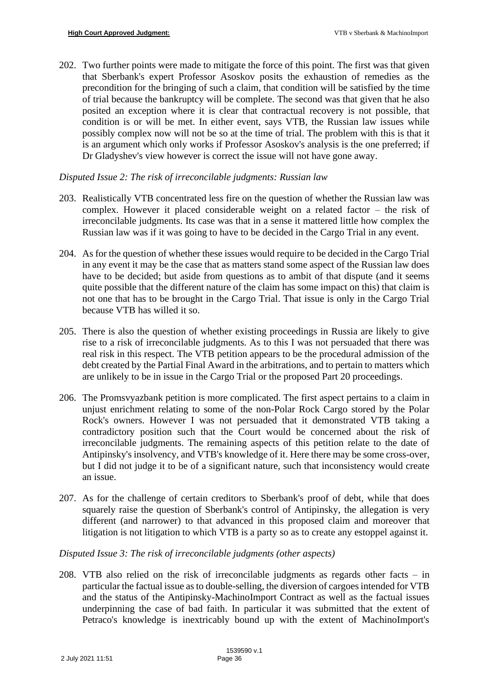202. Two further points were made to mitigate the force of this point. The first was that given that Sberbank's expert Professor Asoskov posits the exhaustion of remedies as the precondition for the bringing of such a claim, that condition will be satisfied by the time of trial because the bankruptcy will be complete. The second was that given that he also posited an exception where it is clear that contractual recovery is not possible, that condition is or will be met. In either event, says VTB, the Russian law issues while possibly complex now will not be so at the time of trial. The problem with this is that it is an argument which only works if Professor Asoskov's analysis is the one preferred; if Dr Gladyshev's view however is correct the issue will not have gone away.

## *Disputed Issue 2: The risk of irreconcilable judgments: Russian law*

- 203. Realistically VTB concentrated less fire on the question of whether the Russian law was complex. However it placed considerable weight on a related factor – the risk of irreconcilable judgments. Its case was that in a sense it mattered little how complex the Russian law was if it was going to have to be decided in the Cargo Trial in any event.
- 204. As for the question of whether these issues would require to be decided in the Cargo Trial in any event it may be the case that as matters stand some aspect of the Russian law does have to be decided; but aside from questions as to ambit of that dispute (and it seems quite possible that the different nature of the claim has some impact on this) that claim is not one that has to be brought in the Cargo Trial. That issue is only in the Cargo Trial because VTB has willed it so.
- 205. There is also the question of whether existing proceedings in Russia are likely to give rise to a risk of irreconcilable judgments. As to this I was not persuaded that there was real risk in this respect. The VTB petition appears to be the procedural admission of the debt created by the Partial Final Award in the arbitrations, and to pertain to matters which are unlikely to be in issue in the Cargo Trial or the proposed Part 20 proceedings.
- 206. The Promsvyazbank petition is more complicated. The first aspect pertains to a claim in unjust enrichment relating to some of the non-Polar Rock Cargo stored by the Polar Rock's owners. However I was not persuaded that it demonstrated VTB taking a contradictory position such that the Court would be concerned about the risk of irreconcilable judgments. The remaining aspects of this petition relate to the date of Antipinsky's insolvency, and VTB's knowledge of it. Here there may be some cross-over, but I did not judge it to be of a significant nature, such that inconsistency would create an issue.
- 207. As for the challenge of certain creditors to Sberbank's proof of debt, while that does squarely raise the question of Sberbank's control of Antipinsky, the allegation is very different (and narrower) to that advanced in this proposed claim and moreover that litigation is not litigation to which VTB is a party so as to create any estoppel against it.

# *Disputed Issue 3: The risk of irreconcilable judgments (other aspects)*

208. VTB also relied on the risk of irreconcilable judgments as regards other facts – in particular the factual issue as to double-selling, the diversion of cargoes intended for VTB and the status of the Antipinsky-MachinoImport Contract as well as the factual issues underpinning the case of bad faith. In particular it was submitted that the extent of Petraco's knowledge is inextricably bound up with the extent of MachinoImport's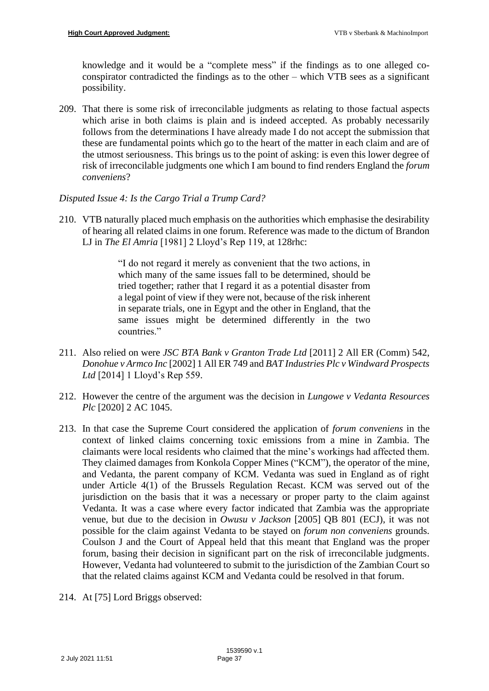knowledge and it would be a "complete mess" if the findings as to one alleged coconspirator contradicted the findings as to the other – which VTB sees as a significant possibility.

209. That there is some risk of irreconcilable judgments as relating to those factual aspects which arise in both claims is plain and is indeed accepted. As probably necessarily follows from the determinations I have already made I do not accept the submission that these are fundamental points which go to the heart of the matter in each claim and are of the utmost seriousness. This brings us to the point of asking: is even this lower degree of risk of irreconcilable judgments one which I am bound to find renders England the *forum conveniens*?

# *Disputed Issue 4: Is the Cargo Trial a Trump Card?*

210. VTB naturally placed much emphasis on the authorities which emphasise the desirability of hearing all related claims in one forum. Reference was made to the dictum of Brandon LJ in *The El Amria* [1981] 2 Lloyd's Rep 119, at 128rhc:

> "I do not regard it merely as convenient that the two actions, in which many of the same issues fall to be determined, should be tried together; rather that I regard it as a potential disaster from a legal point of view if they were not, because of the risk inherent in separate trials, one in Egypt and the other in England, that the same issues might be determined differently in the two countries."

- 211. Also relied on were *JSC BTA Bank v Granton Trade Ltd* [2011] 2 All ER (Comm) 542, *Donohue v Armco Inc* [2002] 1 All ER 749 and *BAT Industries Plc v Windward Prospects Ltd* [2014] 1 Lloyd's Rep 559.
- 212. However the centre of the argument was the decision in *Lungowe v Vedanta Resources Plc* [2020] 2 AC 1045.
- 213. In that case the Supreme Court considered the application of *forum conveniens* in the context of linked claims concerning toxic emissions from a mine in Zambia. The claimants were local residents who claimed that the mine's workings had affected them. They claimed damages from Konkola Copper Mines ("KCM"), the operator of the mine, and Vedanta, the parent company of KCM. Vedanta was sued in England as of right under Article 4(1) of the Brussels Regulation Recast. KCM was served out of the jurisdiction on the basis that it was a necessary or proper party to the claim against Vedanta. It was a case where every factor indicated that Zambia was the appropriate venue, but due to the decision in *Owusu v Jackson* [2005] QB 801 (ECJ), it was not possible for the claim against Vedanta to be stayed on *forum non conveniens* grounds. Coulson J and the Court of Appeal held that this meant that England was the proper forum, basing their decision in significant part on the risk of irreconcilable judgments. However, Vedanta had volunteered to submit to the jurisdiction of the Zambian Court so that the related claims against KCM and Vedanta could be resolved in that forum.
- 214. At [75] Lord Briggs observed: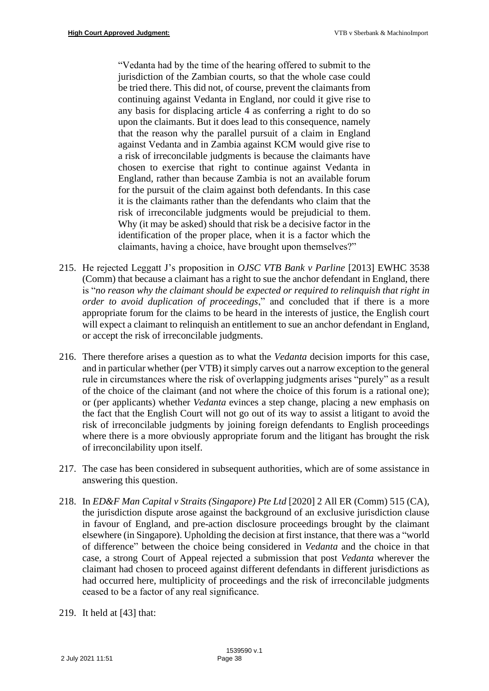"Vedanta had by the time of the hearing offered to submit to the jurisdiction of the Zambian courts, so that the whole case could be tried there. This did not, of course, prevent the claimants from continuing against Vedanta in England, nor could it give rise to any basis for displacing article 4 as conferring a right to do so upon the claimants. But it does lead to this consequence, namely that the reason why the parallel pursuit of a claim in England against Vedanta and in Zambia against KCM would give rise to a risk of irreconcilable judgments is because the claimants have chosen to exercise that right to continue against Vedanta in England, rather than because Zambia is not an available forum for the pursuit of the claim against both defendants. In this case it is the claimants rather than the defendants who claim that the risk of irreconcilable judgments would be prejudicial to them. Why (it may be asked) should that risk be a decisive factor in the identification of the proper place, when it is a factor which the claimants, having a choice, have brought upon themselves?"

- 215. He rejected Leggatt J's proposition in *OJSC VTB Bank v Parline* [2013] EWHC 3538 (Comm) that because a claimant has a right to sue the anchor defendant in England, there is "*no reason why the claimant should be expected or required to relinquish that right in order to avoid duplication of proceedings*," and concluded that if there is a more appropriate forum for the claims to be heard in the interests of justice, the English court will expect a claimant to relinquish an entitlement to sue an anchor defendant in England, or accept the risk of irreconcilable judgments.
- 216. There therefore arises a question as to what the *Vedanta* decision imports for this case, and in particular whether (per VTB) it simply carves out a narrow exception to the general rule in circumstances where the risk of overlapping judgments arises "purely" as a result of the choice of the claimant (and not where the choice of this forum is a rational one); or (per applicants) whether *Vedanta* evinces a step change, placing a new emphasis on the fact that the English Court will not go out of its way to assist a litigant to avoid the risk of irreconcilable judgments by joining foreign defendants to English proceedings where there is a more obviously appropriate forum and the litigant has brought the risk of irreconcilability upon itself.
- 217. The case has been considered in subsequent authorities, which are of some assistance in answering this question.
- 218. In *ED&F Man Capital v Straits (Singapore) Pte Ltd* [2020] 2 All ER (Comm) 515 (CA), the jurisdiction dispute arose against the background of an exclusive jurisdiction clause in favour of England, and pre-action disclosure proceedings brought by the claimant elsewhere (in Singapore). Upholding the decision at first instance, that there was a "world of difference" between the choice being considered in *Vedanta* and the choice in that case, a strong Court of Appeal rejected a submission that post *Vedanta* wherever the claimant had chosen to proceed against different defendants in different jurisdictions as had occurred here, multiplicity of proceedings and the risk of irreconcilable judgments ceased to be a factor of any real significance.
- 219. It held at [43] that: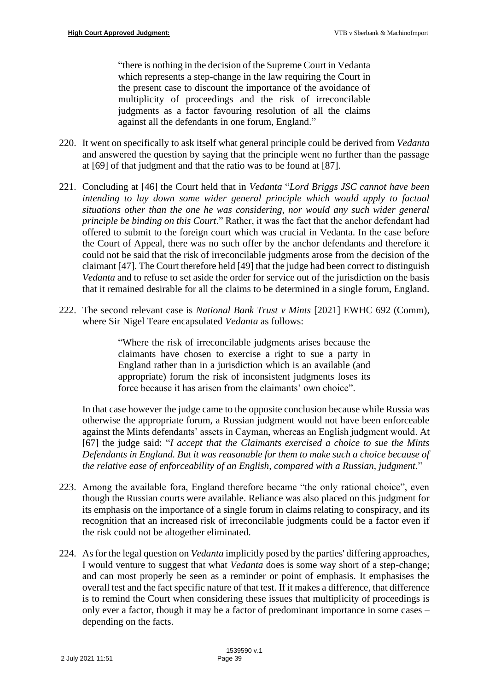"there is nothing in the decision of the Supreme Court in Vedanta which represents a step-change in the law requiring the Court in the present case to discount the importance of the avoidance of multiplicity of proceedings and the risk of irreconcilable judgments as a factor favouring resolution of all the claims against all the defendants in one forum, England."

- 220. It went on specifically to ask itself what general principle could be derived from *Vedanta* and answered the question by saying that the principle went no further than the passage at [69] of that judgment and that the ratio was to be found at [87].
- 221. Concluding at [46] the Court held that in *Vedanta* "*Lord Briggs JSC cannot have been intending to lay down some wider general principle which would apply to factual situations other than the one he was considering, nor would any such wider general principle be binding on this Court*." Rather, it was the fact that the anchor defendant had offered to submit to the foreign court which was crucial in Vedanta. In the case before the Court of Appeal, there was no such offer by the anchor defendants and therefore it could not be said that the risk of irreconcilable judgments arose from the decision of the claimant [47]. The Court therefore held [49] that the judge had been correct to distinguish *Vedanta* and to refuse to set aside the order for service out of the jurisdiction on the basis that it remained desirable for all the claims to be determined in a single forum, England.
- 222. The second relevant case is *National Bank Trust v Mints* [2021] EWHC 692 (Comm), where Sir Nigel Teare encapsulated *Vedanta* as follows:

"Where the risk of irreconcilable judgments arises because the claimants have chosen to exercise a right to sue a party in England rather than in a jurisdiction which is an available (and appropriate) forum the risk of inconsistent judgments loses its force because it has arisen from the claimants' own choice".

In that case however the judge came to the opposite conclusion because while Russia was otherwise the appropriate forum, a Russian judgment would not have been enforceable against the Mints defendants' assets in Cayman, whereas an English judgment would. At [67] the judge said: "*I accept that the Claimants exercised a choice to sue the Mints Defendants in England. But it was reasonable for them to make such a choice because of the relative ease of enforceability of an English, compared with a Russian, judgment*."

- 223. Among the available fora, England therefore became "the only rational choice", even though the Russian courts were available. Reliance was also placed on this judgment for its emphasis on the importance of a single forum in claims relating to conspiracy, and its recognition that an increased risk of irreconcilable judgments could be a factor even if the risk could not be altogether eliminated.
- 224. As for the legal question on *Vedanta* implicitly posed by the parties' differing approaches, I would venture to suggest that what *Vedanta* does is some way short of a step-change; and can most properly be seen as a reminder or point of emphasis. It emphasises the overall test and the fact specific nature of that test. If it makes a difference, that difference is to remind the Court when considering these issues that multiplicity of proceedings is only ever a factor, though it may be a factor of predominant importance in some cases – depending on the facts.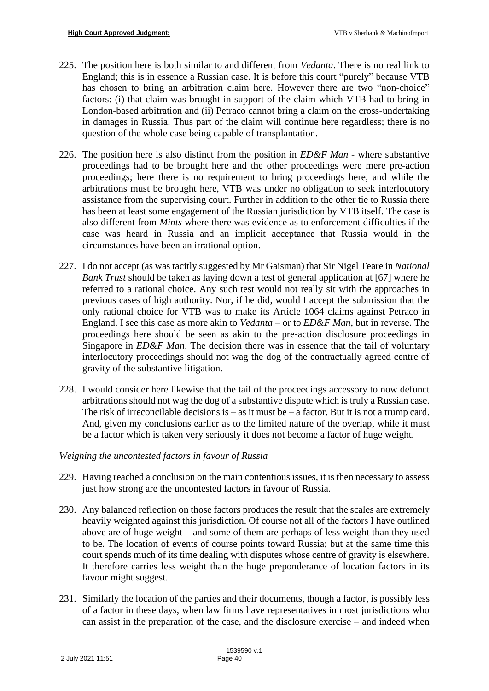- 225. The position here is both similar to and different from *Vedanta*. There is no real link to England; this is in essence a Russian case. It is before this court "purely" because VTB has chosen to bring an arbitration claim here. However there are two "non-choice" factors: (i) that claim was brought in support of the claim which VTB had to bring in London-based arbitration and (ii) Petraco cannot bring a claim on the cross-undertaking in damages in Russia. Thus part of the claim will continue here regardless; there is no question of the whole case being capable of transplantation.
- 226. The position here is also distinct from the position in *ED&F Man -* where substantive proceedings had to be brought here and the other proceedings were mere pre-action proceedings; here there is no requirement to bring proceedings here, and while the arbitrations must be brought here, VTB was under no obligation to seek interlocutory assistance from the supervising court. Further in addition to the other tie to Russia there has been at least some engagement of the Russian jurisdiction by VTB itself. The case is also different from *Mints* where there was evidence as to enforcement difficulties if the case was heard in Russia and an implicit acceptance that Russia would in the circumstances have been an irrational option.
- 227. I do not accept (as was tacitly suggested by Mr Gaisman) that Sir Nigel Teare in *National Bank Trust* should be taken as laying down a test of general application at [67] where he referred to a rational choice. Any such test would not really sit with the approaches in previous cases of high authority. Nor, if he did, would I accept the submission that the only rational choice for VTB was to make its Article 1064 claims against Petraco in England. I see this case as more akin to *Vedanta* – or to *ED&F Man*, but in reverse. The proceedings here should be seen as akin to the pre-action disclosure proceedings in Singapore in *ED&F Man*. The decision there was in essence that the tail of voluntary interlocutory proceedings should not wag the dog of the contractually agreed centre of gravity of the substantive litigation.
- 228. I would consider here likewise that the tail of the proceedings accessory to now defunct arbitrations should not wag the dog of a substantive dispute which is truly a Russian case. The risk of irreconcilable decisions is  $-$  as it must be  $-$  a factor. But it is not a trump card. And, given my conclusions earlier as to the limited nature of the overlap, while it must be a factor which is taken very seriously it does not become a factor of huge weight.

# *Weighing the uncontested factors in favour of Russia*

- 229. Having reached a conclusion on the main contentious issues, it is then necessary to assess just how strong are the uncontested factors in favour of Russia.
- 230. Any balanced reflection on those factors produces the result that the scales are extremely heavily weighted against this jurisdiction. Of course not all of the factors I have outlined above are of huge weight – and some of them are perhaps of less weight than they used to be. The location of events of course points toward Russia; but at the same time this court spends much of its time dealing with disputes whose centre of gravity is elsewhere. It therefore carries less weight than the huge preponderance of location factors in its favour might suggest.
- 231. Similarly the location of the parties and their documents, though a factor, is possibly less of a factor in these days, when law firms have representatives in most jurisdictions who can assist in the preparation of the case, and the disclosure exercise – and indeed when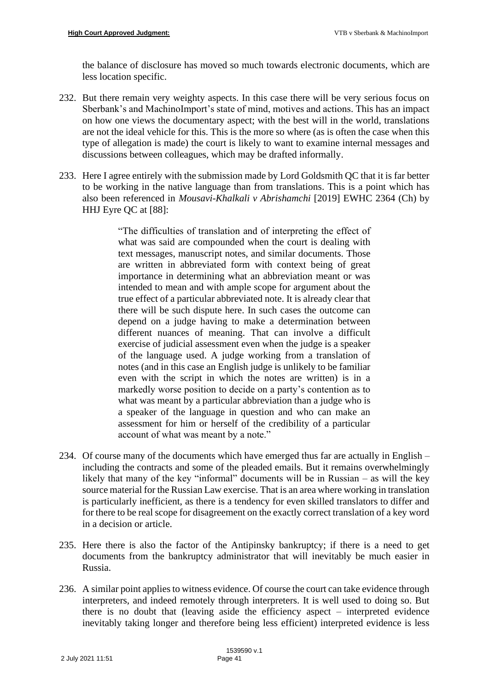the balance of disclosure has moved so much towards electronic documents, which are less location specific.

- 232. But there remain very weighty aspects. In this case there will be very serious focus on Sberbank's and MachinoImport's state of mind, motives and actions. This has an impact on how one views the documentary aspect; with the best will in the world, translations are not the ideal vehicle for this. This is the more so where (as is often the case when this type of allegation is made) the court is likely to want to examine internal messages and discussions between colleagues, which may be drafted informally.
- 233. Here I agree entirely with the submission made by Lord Goldsmith QC that it is far better to be working in the native language than from translations. This is a point which has also been referenced in *Mousavi-Khalkali v Abrishamchi* [2019] EWHC 2364 (Ch) by HHJ Eyre QC at [88]:

"The difficulties of translation and of interpreting the effect of what was said are compounded when the court is dealing with text messages, manuscript notes, and similar documents. Those are written in abbreviated form with context being of great importance in determining what an abbreviation meant or was intended to mean and with ample scope for argument about the true effect of a particular abbreviated note. It is already clear that there will be such dispute here. In such cases the outcome can depend on a judge having to make a determination between different nuances of meaning. That can involve a difficult exercise of judicial assessment even when the judge is a speaker of the language used. A judge working from a translation of notes (and in this case an English judge is unlikely to be familiar even with the script in which the notes are written) is in a markedly worse position to decide on a party's contention as to what was meant by a particular abbreviation than a judge who is a speaker of the language in question and who can make an assessment for him or herself of the credibility of a particular account of what was meant by a note."

- 234. Of course many of the documents which have emerged thus far are actually in English including the contracts and some of the pleaded emails. But it remains overwhelmingly likely that many of the key "informal" documents will be in Russian – as will the key source material for the Russian Law exercise. That is an area where working in translation is particularly inefficient, as there is a tendency for even skilled translators to differ and for there to be real scope for disagreement on the exactly correct translation of a key word in a decision or article.
- 235. Here there is also the factor of the Antipinsky bankruptcy; if there is a need to get documents from the bankruptcy administrator that will inevitably be much easier in Russia.
- 236. A similar point applies to witness evidence. Of course the court can take evidence through interpreters, and indeed remotely through interpreters. It is well used to doing so. But there is no doubt that (leaving aside the efficiency aspect – interpreted evidence inevitably taking longer and therefore being less efficient) interpreted evidence is less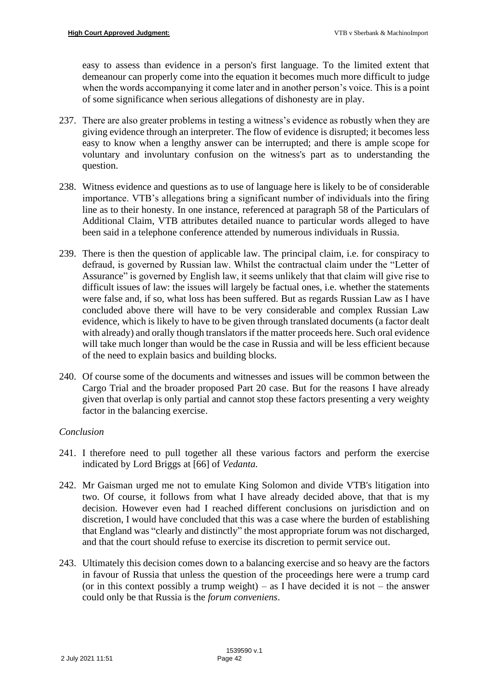easy to assess than evidence in a person's first language. To the limited extent that demeanour can properly come into the equation it becomes much more difficult to judge when the words accompanying it come later and in another person's voice. This is a point of some significance when serious allegations of dishonesty are in play.

- 237. There are also greater problems in testing a witness's evidence as robustly when they are giving evidence through an interpreter. The flow of evidence is disrupted; it becomes less easy to know when a lengthy answer can be interrupted; and there is ample scope for voluntary and involuntary confusion on the witness's part as to understanding the question.
- 238. Witness evidence and questions as to use of language here is likely to be of considerable importance. VTB's allegations bring a significant number of individuals into the firing line as to their honesty. In one instance, referenced at paragraph 58 of the Particulars of Additional Claim, VTB attributes detailed nuance to particular words alleged to have been said in a telephone conference attended by numerous individuals in Russia.
- 239. There is then the question of applicable law. The principal claim, i.e. for conspiracy to defraud, is governed by Russian law. Whilst the contractual claim under the "Letter of Assurance" is governed by English law, it seems unlikely that that claim will give rise to difficult issues of law: the issues will largely be factual ones, i.e. whether the statements were false and, if so, what loss has been suffered. But as regards Russian Law as I have concluded above there will have to be very considerable and complex Russian Law evidence, which is likely to have to be given through translated documents (a factor dealt with already) and orally though translators if the matter proceeds here. Such oral evidence will take much longer than would be the case in Russia and will be less efficient because of the need to explain basics and building blocks.
- 240. Of course some of the documents and witnesses and issues will be common between the Cargo Trial and the broader proposed Part 20 case. But for the reasons I have already given that overlap is only partial and cannot stop these factors presenting a very weighty factor in the balancing exercise.

#### *Conclusion*

- 241. I therefore need to pull together all these various factors and perform the exercise indicated by Lord Briggs at [66] of *Vedanta.*
- 242. Mr Gaisman urged me not to emulate King Solomon and divide VTB's litigation into two. Of course, it follows from what I have already decided above, that that is my decision. However even had I reached different conclusions on jurisdiction and on discretion, I would have concluded that this was a case where the burden of establishing that England was "clearly and distinctly" the most appropriate forum was not discharged, and that the court should refuse to exercise its discretion to permit service out.
- 243. Ultimately this decision comes down to a balancing exercise and so heavy are the factors in favour of Russia that unless the question of the proceedings here were a trump card (or in this context possibly a trump weight) – as I have decided it is not – the answer could only be that Russia is the *forum conveniens*.